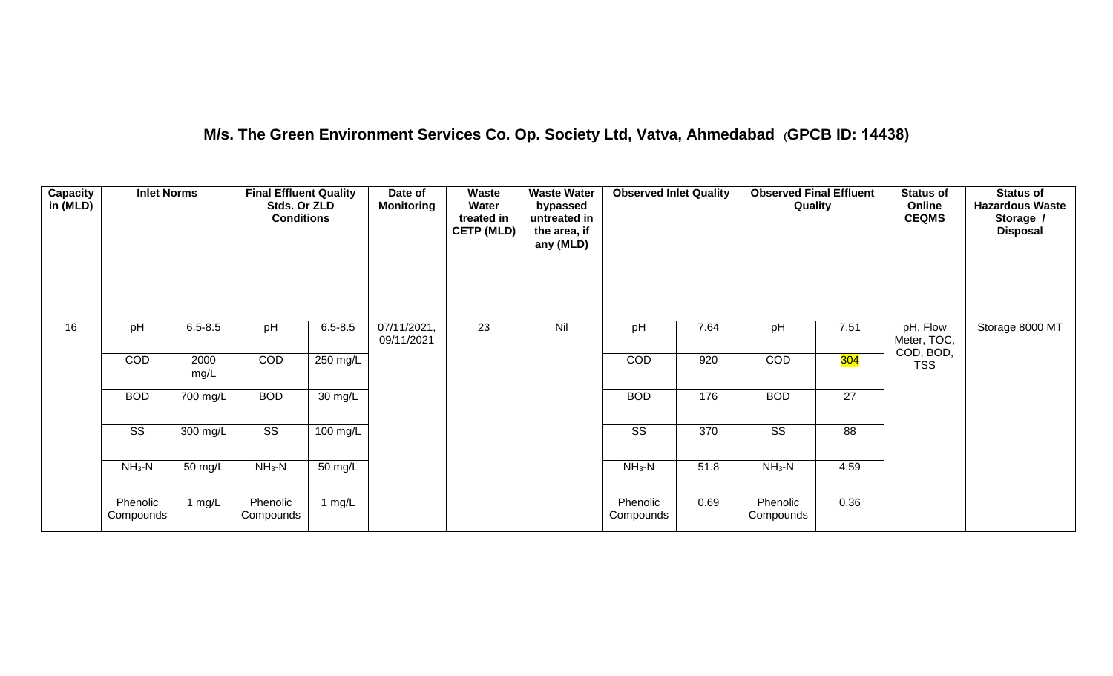## **M/s. The Green Environment Services Co. Op. Society Ltd, Vatva, Ahmedabad (GPCB ID: 14438)**

| Capacity<br>in (MLD) | <b>Inlet Norms</b>     |              | <b>Final Effluent Quality</b><br>Stds. Or ZLD<br><b>Conditions</b> |                    | Date of<br><b>Monitoring</b> | <b>Waste</b><br>Water<br>treated in<br><b>CETP (MLD)</b> | <b>Waste Water</b><br>bypassed<br>untreated in<br>the area, if<br>any (MLD) | <b>Observed Inlet Quality</b> |      | <b>Observed Final Effluent</b><br>Quality |      | <b>Status of</b><br>Online<br><b>CEQMS</b> | <b>Status of</b><br><b>Hazardous Waste</b><br>Storage /<br><b>Disposal</b> |
|----------------------|------------------------|--------------|--------------------------------------------------------------------|--------------------|------------------------------|----------------------------------------------------------|-----------------------------------------------------------------------------|-------------------------------|------|-------------------------------------------|------|--------------------------------------------|----------------------------------------------------------------------------|
| 16                   | pH                     | $6.5 - 8.5$  | pH                                                                 | $6.5 - 8.5$        | 07/11/2021,<br>09/11/2021    | $\overline{23}$                                          | Nil                                                                         | pH                            | 7.64 | pH                                        | 7.51 | pH, Flow<br>Meter, TOC,<br>COD, BOD,       | Storage 8000 MT                                                            |
|                      | COD                    | 2000<br>mg/L | COD                                                                | 250 mg/L           |                              |                                                          |                                                                             | COD                           | 920  | COD                                       | 304  | <b>TSS</b>                                 |                                                                            |
|                      | <b>BOD</b>             | 700 mg/L     | <b>BOD</b>                                                         | 30 mg/L            |                              |                                                          |                                                                             | <b>BOD</b>                    | 176  | <b>BOD</b>                                | 27   |                                            |                                                                            |
|                      | $\overline{\text{ss}}$ | 300 mg/L     | $\overline{\text{SS}}$                                             | $100 \text{ mg/L}$ |                              |                                                          |                                                                             | $\overline{\text{ss}}$        | 370  | $\overline{\text{SS}}$                    | 88   |                                            |                                                                            |
|                      | $NH3-N$                | 50 mg/L      | $NH3-N$                                                            | 50 mg/L            |                              |                                                          |                                                                             | $NH3-N$                       | 51.8 | $NH3-N$                                   | 4.59 |                                            |                                                                            |
|                      | Phenolic<br>Compounds  | 1 mg/L       | Phenolic<br>Compounds                                              | 1 mg/L             |                              |                                                          |                                                                             | Phenolic<br>Compounds         | 0.69 | Phenolic<br>Compounds                     | 0.36 |                                            |                                                                            |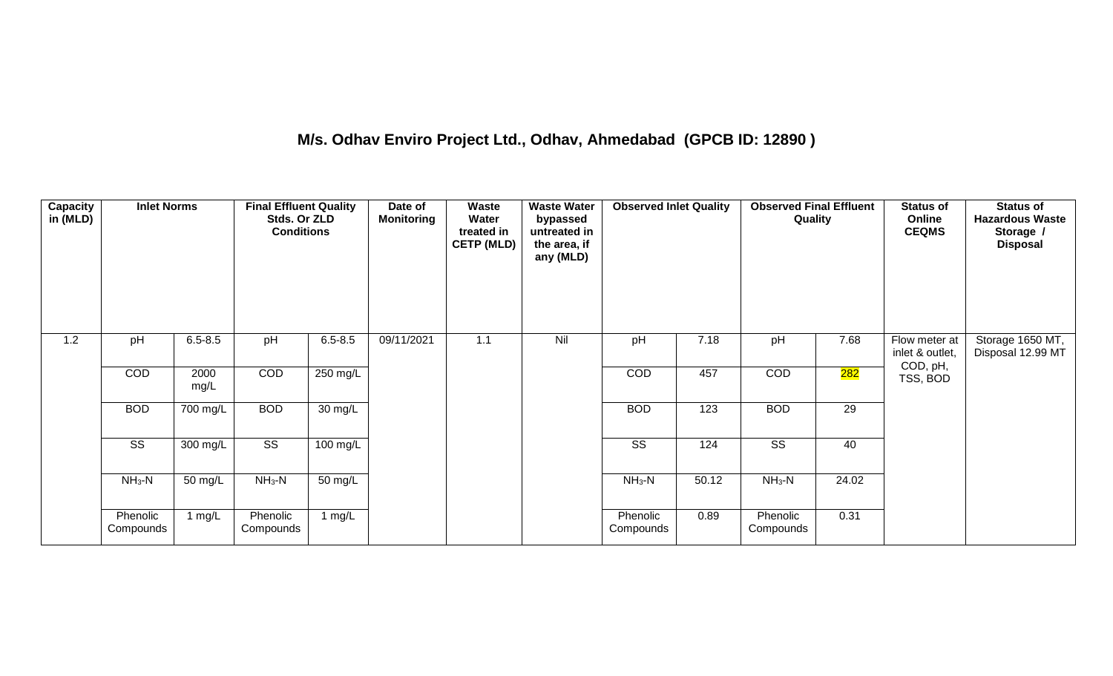## **M/s. Odhav Enviro Project Ltd., Odhav, Ahmedabad (GPCB ID: 12890 )**

| Capacity<br>in (MLD) | <b>Inlet Norms</b>     |              | <b>Final Effluent Quality</b><br>Stds. Or ZLD<br><b>Conditions</b> |             | Date of<br><b>Monitoring</b> | Waste<br>Water<br>treated in<br><b>CETP (MLD)</b> | <b>Waste Water</b><br>bypassed<br>untreated in<br>the area, if<br>any (MLD) | <b>Observed Inlet Quality</b> |       | <b>Observed Final Effluent</b><br>Quality |       | <b>Status of</b><br>Online<br><b>CEQMS</b> | <b>Status of</b><br><b>Hazardous Waste</b><br>Storage /<br><b>Disposal</b> |
|----------------------|------------------------|--------------|--------------------------------------------------------------------|-------------|------------------------------|---------------------------------------------------|-----------------------------------------------------------------------------|-------------------------------|-------|-------------------------------------------|-------|--------------------------------------------|----------------------------------------------------------------------------|
| 1.2                  | pH                     | $6.5 - 8.5$  | pH                                                                 | $6.5 - 8.5$ | 09/11/2021                   | 1.1                                               | Nil                                                                         | pH                            | 7.18  | pH                                        | 7.68  | Flow meter at<br>inlet & outlet,           | Storage 1650 MT,<br>Disposal 12.99 MT                                      |
|                      | COD                    | 2000<br>mg/L | COD                                                                | 250 mg/L    |                              |                                                   |                                                                             | COD                           | 457   | COD                                       | 282   | COD, pH,<br>TSS, BOD                       |                                                                            |
|                      | <b>BOD</b>             | 700 mg/L     | <b>BOD</b>                                                         | 30 mg/L     |                              |                                                   |                                                                             | <b>BOD</b>                    | 123   | <b>BOD</b>                                | 29    |                                            |                                                                            |
|                      | $\overline{\text{ss}}$ | 300 mg/L     | $\overline{\text{ss}}$                                             | 100 mg/L    |                              |                                                   |                                                                             | $\overline{\text{SS}}$        | 124   | $\overline{\text{ss}}$                    | 40    |                                            |                                                                            |
|                      | $NH3-N$                | 50 mg/L      | $NH3-N$                                                            | 50 mg/L     |                              |                                                   |                                                                             | $NH3-N$                       | 50.12 | $NH3-N$                                   | 24.02 |                                            |                                                                            |
|                      | Phenolic<br>Compounds  | 1 $mg/L$     | Phenolic<br>Compounds                                              | 1 $mg/L$    |                              |                                                   |                                                                             | Phenolic<br>Compounds         | 0.89  | Phenolic<br>Compounds                     | 0.31  |                                            |                                                                            |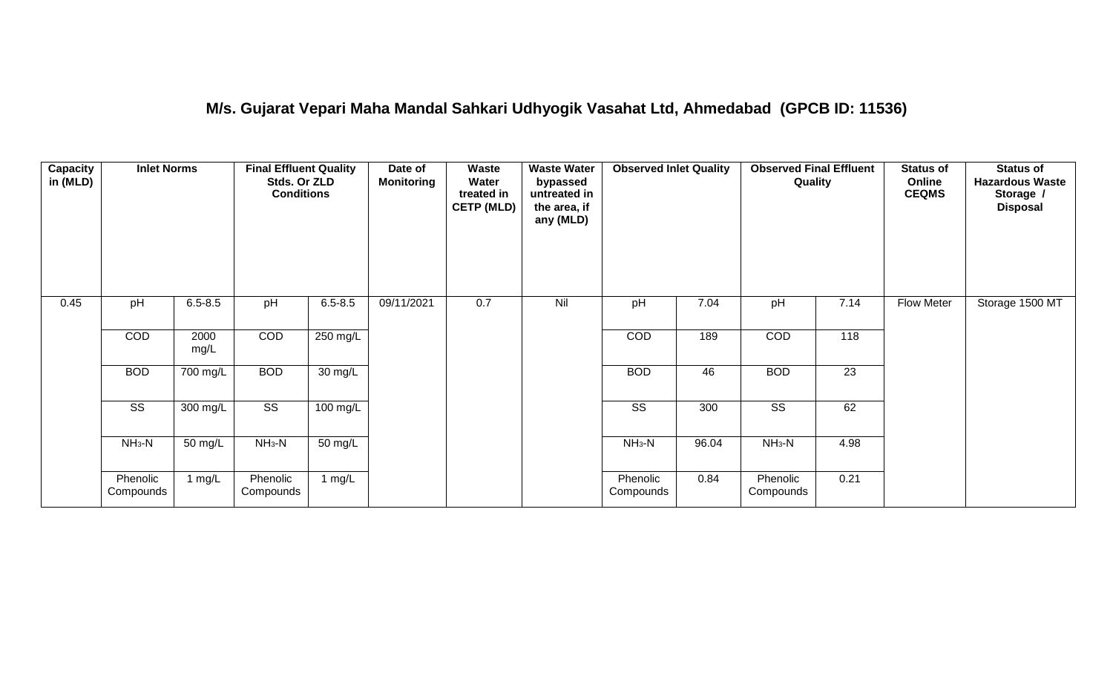#### **M/s. Gujarat Vepari Maha Mandal Sahkari Udhyogik Vasahat Ltd, Ahmedabad (GPCB ID: 11536)**

| <b>Capacity</b><br>in (MLD) | <b>Inlet Norms</b>     |              | <b>Final Effluent Quality</b><br>Stds. Or ZLD<br><b>Conditions</b> |                   | Date of<br><b>Monitoring</b> | <b>Waste</b><br>Water<br>treated in<br><b>CETP (MLD)</b> | <b>Waste Water</b><br>bypassed<br>untreated in<br>the area, if<br>any (MLD) | <b>Observed Inlet Quality</b> |       | <b>Observed Final Effluent</b><br>Quality |      | <b>Status of</b><br>Online<br><b>CEQMS</b> | <b>Status of</b><br><b>Hazardous Waste</b><br>Storage /<br><b>Disposal</b> |
|-----------------------------|------------------------|--------------|--------------------------------------------------------------------|-------------------|------------------------------|----------------------------------------------------------|-----------------------------------------------------------------------------|-------------------------------|-------|-------------------------------------------|------|--------------------------------------------|----------------------------------------------------------------------------|
| 0.45                        | pH                     | $6.5 - 8.5$  | pH                                                                 | $6.5 - 8.5$       | 09/11/2021                   | 0.7                                                      | Nil                                                                         | pH                            | 7.04  | pH                                        | 7.14 | <b>Flow Meter</b>                          | Storage 1500 MT                                                            |
|                             | COD                    | 2000<br>mg/L | COD                                                                | $250$ mg/L        |                              |                                                          |                                                                             | COD                           | 189   | COD                                       | 118  |                                            |                                                                            |
|                             | <b>BOD</b>             | 700 mg/L     | <b>BOD</b>                                                         | $30 \text{ mg/L}$ |                              |                                                          |                                                                             | <b>BOD</b>                    | 46    | <b>BOD</b>                                | 23   |                                            |                                                                            |
|                             | $\overline{\text{SS}}$ | 300 mg/L     | $\overline{\text{ss}}$                                             | $100$ mg/L        |                              |                                                          |                                                                             | $\overline{\text{SS}}$        | 300   | $\overline{\text{ss}}$                    | 62   |                                            |                                                                            |
|                             | $NH3-N$                | 50 mg/L      | $NH3-N$                                                            | 50 mg/L           |                              |                                                          |                                                                             | $NH3-N$                       | 96.04 | $NH3-N$                                   | 4.98 |                                            |                                                                            |
|                             | Phenolic<br>Compounds  | 1 $mg/L$     | Phenolic<br>Compounds                                              | 1 mg/L            |                              |                                                          |                                                                             | Phenolic<br>Compounds         | 0.84  | Phenolic<br>Compounds                     | 0.21 |                                            |                                                                            |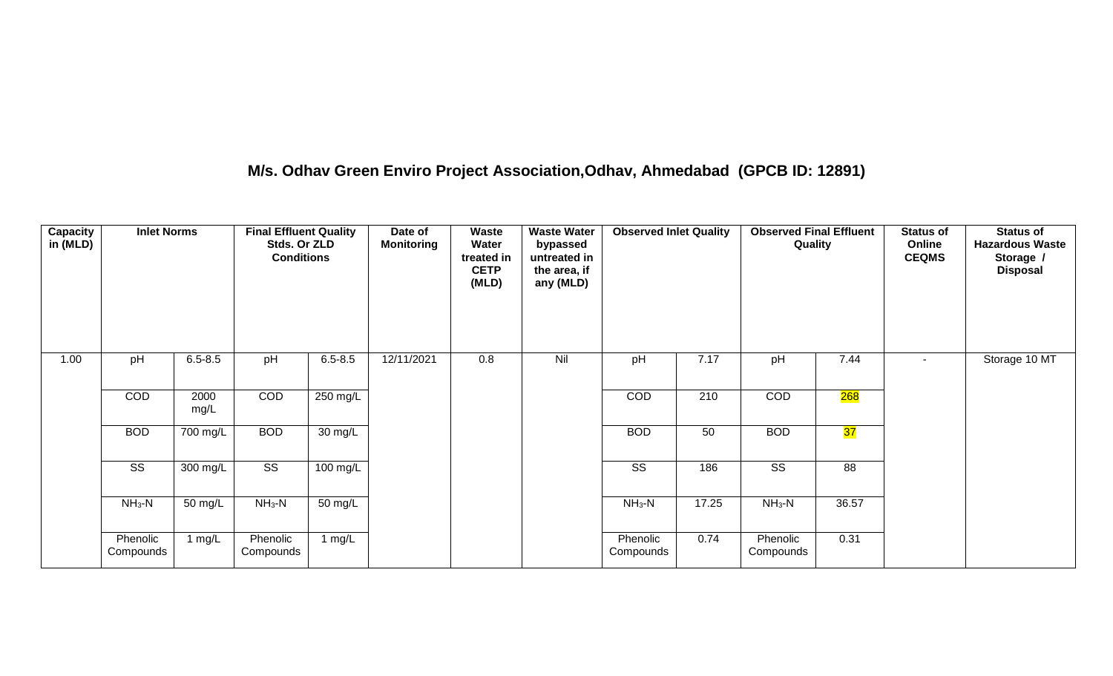## **M/s. Odhav Green Enviro Project Association,Odhav, Ahmedabad (GPCB ID: 12891)**

| <b>Capacity</b><br>in (MLD) | <b>Inlet Norms</b>     |              | <b>Final Effluent Quality</b><br>Stds. Or ZLD<br><b>Conditions</b> |             | Date of<br><b>Monitoring</b> | Waste<br>Water<br>treated in<br><b>CETP</b><br>(MLD) | <b>Waste Water</b><br>bypassed<br>untreated in<br>the area, if<br>any (MLD) | <b>Observed Inlet Quality</b> |       | <b>Observed Final Effluent</b><br>Quality |       | <b>Status of</b><br>Online<br><b>CEQMS</b> | <b>Status of</b><br><b>Hazardous Waste</b><br>Storage /<br><b>Disposal</b> |
|-----------------------------|------------------------|--------------|--------------------------------------------------------------------|-------------|------------------------------|------------------------------------------------------|-----------------------------------------------------------------------------|-------------------------------|-------|-------------------------------------------|-------|--------------------------------------------|----------------------------------------------------------------------------|
| 1.00                        | pH                     | $6.5 - 8.5$  | pH                                                                 | $6.5 - 8.5$ | 12/11/2021                   | 0.8                                                  | Nil                                                                         | pH                            | 7.17  | pH                                        | 7.44  | $\sim$                                     | Storage 10 MT                                                              |
|                             | COD                    | 2000<br>mg/L | COD                                                                | 250 mg/L    |                              |                                                      |                                                                             | COD                           | 210   | COD                                       | 268   |                                            |                                                                            |
|                             | <b>BOD</b>             | 700 mg/L     | <b>BOD</b>                                                         | 30 mg/L     |                              |                                                      |                                                                             | <b>BOD</b>                    | 50    | <b>BOD</b>                                | 37    |                                            |                                                                            |
|                             | $\overline{\text{SS}}$ | 300 mg/L     | $\overline{\text{SS}}$                                             | 100 mg/L    |                              |                                                      |                                                                             | $\overline{\text{ss}}$        | 186   | $\overline{\text{SS}}$                    | 88    |                                            |                                                                            |
|                             | $NH3-N$                | 50 mg/L      | $NH_3-N$                                                           | 50 mg/L     |                              |                                                      |                                                                             | $NH3-N$                       | 17.25 | $NH_3-N$                                  | 36.57 |                                            |                                                                            |
|                             | Phenolic<br>Compounds  | 1 mg/L       | Phenolic<br>Compounds                                              | 1 $mg/L$    |                              |                                                      |                                                                             | Phenolic<br>Compounds         | 0.74  | Phenolic<br>Compounds                     | 0.31  |                                            |                                                                            |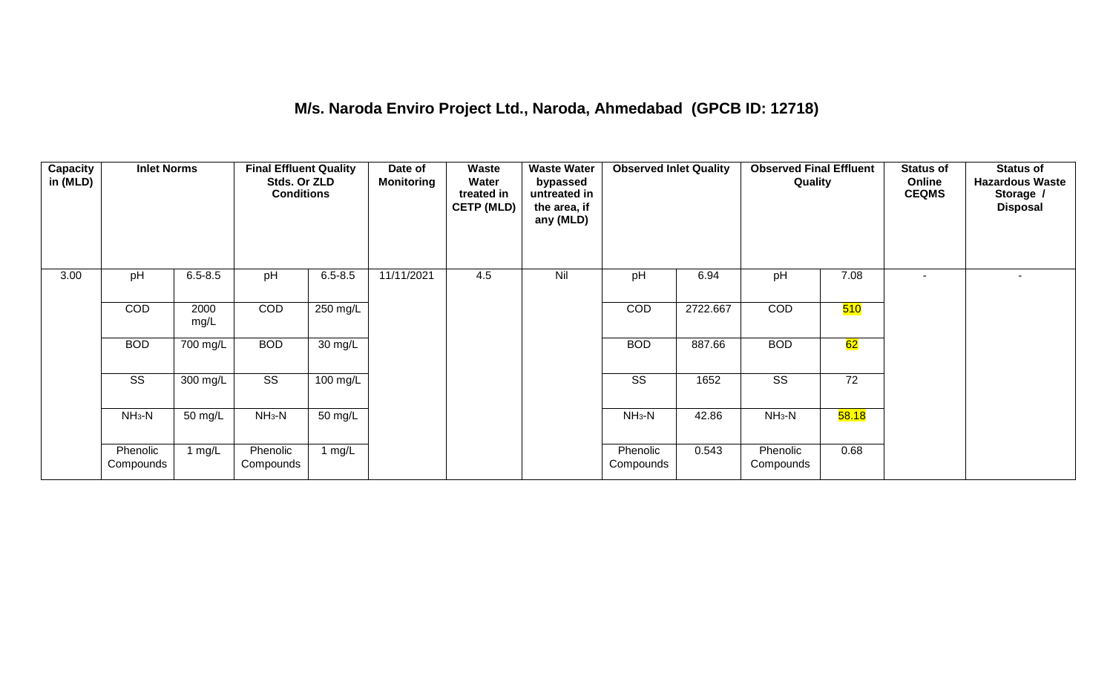#### **M/s. Naroda Enviro Project Ltd., Naroda, Ahmedabad (GPCB ID: 12718)**

| <b>Capacity</b><br>in (MLD) | <b>Inlet Norms</b>    |              | <b>Final Effluent Quality</b><br>Stds. Or ZLD<br><b>Conditions</b> |             | Date of<br><b>Monitoring</b> | Waste<br>Water<br>treated in<br><b>CETP (MLD)</b> | <b>Waste Water</b><br>bypassed<br>untreated in<br>the area, if<br>any (MLD) | <b>Observed Inlet Quality</b> |          | <b>Observed Final Effluent</b><br>Quality |       | <b>Status of</b><br>Online<br><b>CEQMS</b> | <b>Status of</b><br><b>Hazardous Waste</b><br>Storage /<br><b>Disposal</b> |
|-----------------------------|-----------------------|--------------|--------------------------------------------------------------------|-------------|------------------------------|---------------------------------------------------|-----------------------------------------------------------------------------|-------------------------------|----------|-------------------------------------------|-------|--------------------------------------------|----------------------------------------------------------------------------|
| 3.00                        | pH                    | $6.5 - 8.5$  | pH                                                                 | $6.5 - 8.5$ | 11/11/2021                   | 4.5                                               | Nil                                                                         | pH                            | 6.94     | pH                                        | 7.08  |                                            |                                                                            |
|                             | <b>COD</b>            | 2000<br>mg/L | <b>COD</b>                                                         | 250 mg/L    |                              |                                                   |                                                                             | COD                           | 2722.667 | COD                                       | 510   |                                            |                                                                            |
|                             | <b>BOD</b>            | 700 mg/L     | <b>BOD</b>                                                         | 30 mg/L     |                              |                                                   |                                                                             | <b>BOD</b>                    | 887.66   | <b>BOD</b>                                | 62    |                                            |                                                                            |
|                             | SS                    | 300 mg/L     | SS                                                                 | 100 mg/L    |                              |                                                   |                                                                             | SS                            | 1652     | SS                                        | 72    |                                            |                                                                            |
|                             | $NH3-N$               | 50 mg/L      | $NH3-N$                                                            | 50 mg/L     |                              |                                                   |                                                                             | $NH3-N$                       | 42.86    | $NH3-N$                                   | 58.18 |                                            |                                                                            |
|                             | Phenolic<br>Compounds | 1 mg/ $L$    | Phenolic<br>Compounds                                              | 1 $mg/L$    |                              |                                                   |                                                                             | Phenolic<br>Compounds         | 0.543    | Phenolic<br>Compounds                     | 0.68  |                                            |                                                                            |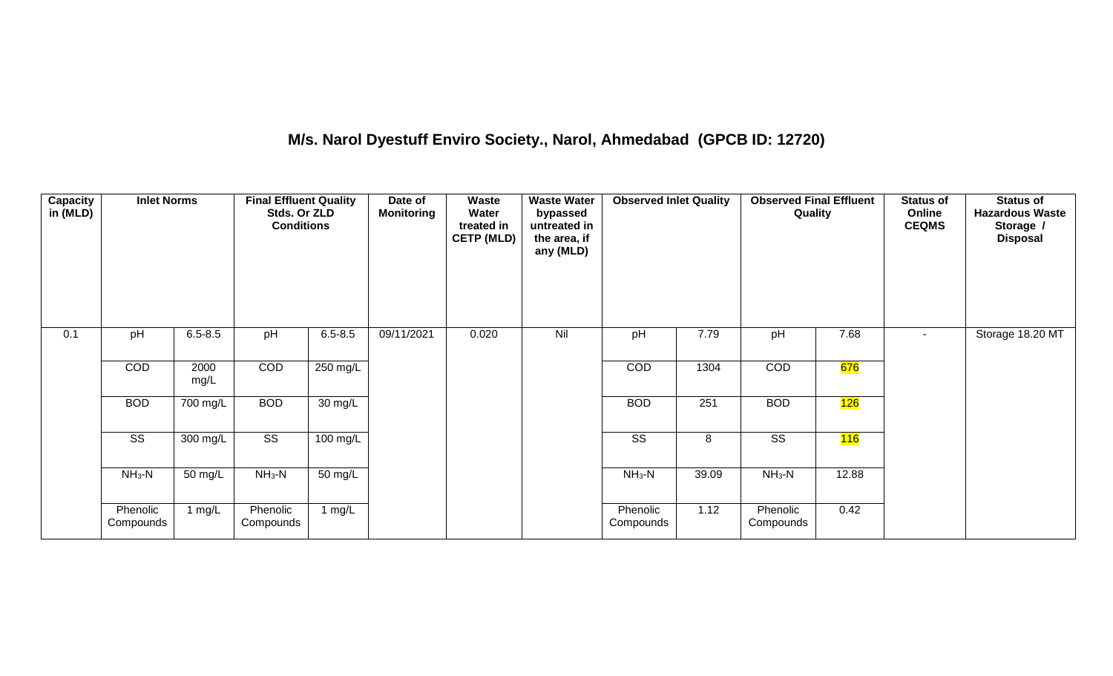## **M/s. Narol Dyestuff Enviro Society., Narol, Ahmedabad (GPCB ID: 12720)**

| <b>Capacity</b><br>in (MLD) | <b>Inlet Norms</b>     |              | <b>Final Effluent Quality</b><br>Stds. Or ZLD<br><b>Conditions</b> |                   | Date of<br><b>Monitoring</b> | <b>Waste</b><br>Water<br>treated in<br><b>CETP (MLD)</b> | <b>Waste Water</b><br>bypassed<br>untreated in<br>the area, if<br>any (MLD) | <b>Observed Inlet Quality</b> |       | <b>Observed Final Effluent</b><br>Quality |       | <b>Status of</b><br>Online<br><b>CEQMS</b> | <b>Status of</b><br><b>Hazardous Waste</b><br>Storage /<br><b>Disposal</b> |
|-----------------------------|------------------------|--------------|--------------------------------------------------------------------|-------------------|------------------------------|----------------------------------------------------------|-----------------------------------------------------------------------------|-------------------------------|-------|-------------------------------------------|-------|--------------------------------------------|----------------------------------------------------------------------------|
| 0.1                         | pH                     | $6.5 - 8.5$  | pH                                                                 | $6.5 - 8.5$       | 09/11/2021                   | 0.020                                                    | Nil                                                                         | pH                            | 7.79  | pH                                        | 7.68  | $\sim$                                     | Storage 18.20 MT                                                           |
|                             | COD                    | 2000<br>mg/L | COD                                                                | 250 mg/L          |                              |                                                          |                                                                             | COD                           | 1304  | COD                                       | 676   |                                            |                                                                            |
|                             | <b>BOD</b>             | 700 mg/L     | <b>BOD</b>                                                         | $30 \text{ mg/L}$ |                              |                                                          |                                                                             | <b>BOD</b>                    | 251   | <b>BOD</b>                                | 126   |                                            |                                                                            |
|                             | $\overline{\text{ss}}$ | 300 mg/L     | $\overline{\text{SS}}$                                             | $100$ mg/L        |                              |                                                          |                                                                             | $\overline{\text{ss}}$        | 8     | $\overline{\text{ss}}$                    | 116   |                                            |                                                                            |
|                             | $NH3-N$                | 50 mg/L      | $NH3-N$                                                            | $50 \text{ mg/L}$ |                              |                                                          |                                                                             | $NH3-N$                       | 39.09 | $NH3-N$                                   | 12.88 |                                            |                                                                            |
|                             | Phenolic<br>Compounds  | 1 $mg/L$     | Phenolic<br>Compounds                                              | 1 mg/L            |                              |                                                          |                                                                             | Phenolic<br>Compounds         | 1.12  | Phenolic<br>Compounds                     | 0.42  |                                            |                                                                            |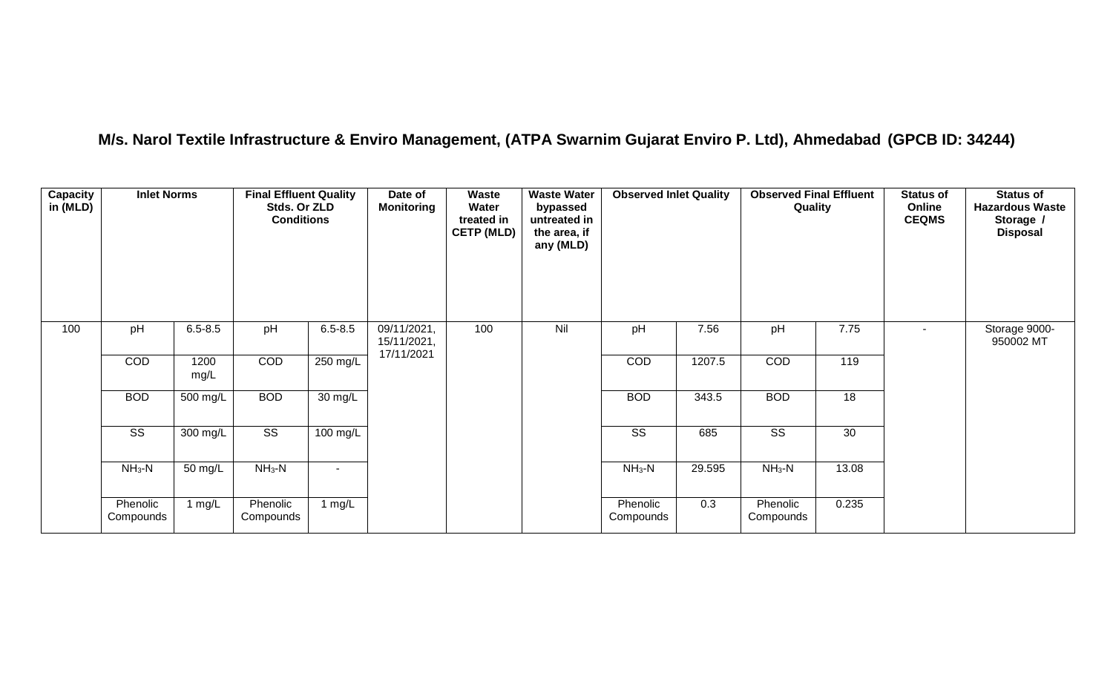## **M/s. Narol Textile Infrastructure & Enviro Management, (ATPA Swarnim Gujarat Enviro P. Ltd), Ahmedabad (GPCB ID: 34244)**

| Capacity<br>in (MLD) | <b>Inlet Norms</b>     |              | <b>Final Effluent Quality</b><br>Stds. Or ZLD<br><b>Conditions</b> |             | Date of<br><b>Monitoring</b>             | Waste<br>Water<br>treated in<br><b>CETP (MLD)</b> | <b>Waste Water</b><br>bypassed<br>untreated in<br>the area, if<br>any (MLD) | <b>Observed Inlet Quality</b> |        | <b>Observed Final Effluent</b><br>Quality |       | <b>Status of</b><br>Online<br><b>CEQMS</b> | <b>Status of</b><br><b>Hazardous Waste</b><br>Storage /<br><b>Disposal</b> |
|----------------------|------------------------|--------------|--------------------------------------------------------------------|-------------|------------------------------------------|---------------------------------------------------|-----------------------------------------------------------------------------|-------------------------------|--------|-------------------------------------------|-------|--------------------------------------------|----------------------------------------------------------------------------|
| 100                  | pH                     | $6.5 - 8.5$  | pH                                                                 | $6.5 - 8.5$ | 09/11/2021,<br>15/11/2021,<br>17/11/2021 | 100                                               | Nil                                                                         | pH                            | 7.56   | pH                                        | 7.75  | $\blacksquare$                             | Storage 9000-<br>950002 MT                                                 |
|                      | COD                    | 1200<br>mg/L | COD                                                                | 250 mg/L    |                                          |                                                   |                                                                             | COD                           | 1207.5 | COD                                       | 119   |                                            |                                                                            |
|                      | <b>BOD</b>             | 500 mg/L     | <b>BOD</b>                                                         | 30 mg/L     |                                          |                                                   |                                                                             | <b>BOD</b>                    | 343.5  | <b>BOD</b>                                | 18    |                                            |                                                                            |
|                      | $\overline{\text{ss}}$ | 300 mg/L     | $\overline{\text{ss}}$                                             | 100 mg/L    |                                          |                                                   |                                                                             | $\overline{\text{ss}}$        | 685    | $\overline{\text{SS}}$                    | 30    |                                            |                                                                            |
|                      | $NH3-N$                | 50 mg/L      | $NH3-N$                                                            |             |                                          |                                                   |                                                                             | $NH3-N$                       | 29.595 | $NH_3-N$                                  | 13.08 |                                            |                                                                            |
|                      | Phenolic<br>Compounds  | 1 $mg/L$     | Phenolic<br>Compounds                                              | 1 $mg/L$    |                                          |                                                   |                                                                             | Phenolic<br>Compounds         | 0.3    | Phenolic<br>Compounds                     | 0.235 |                                            |                                                                            |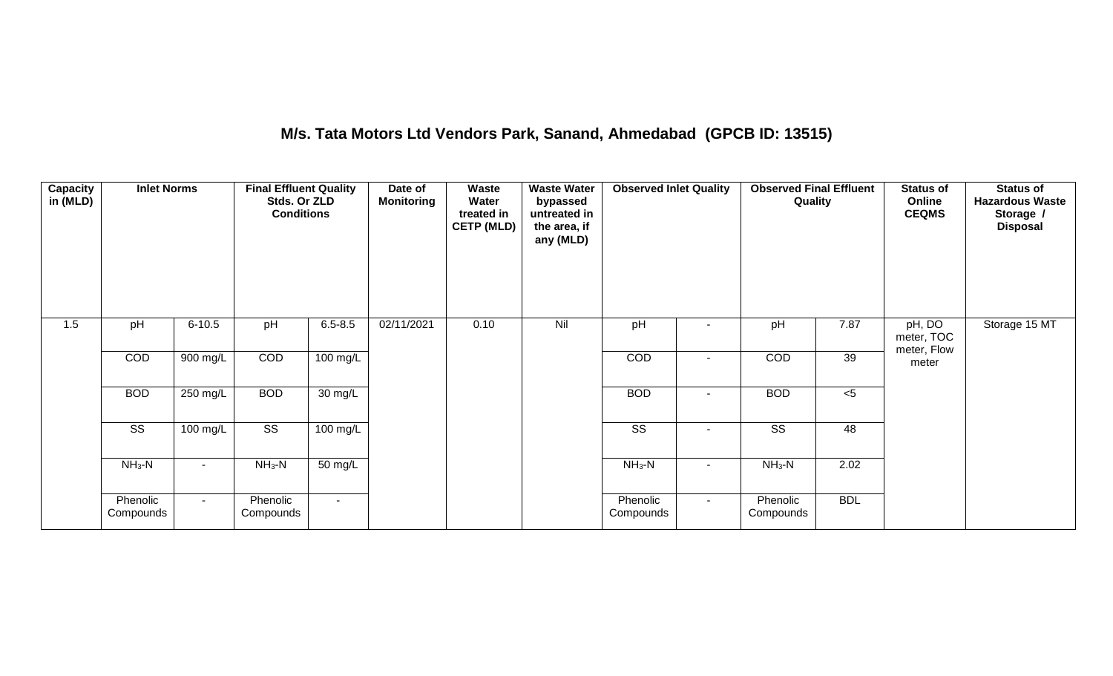## **M/s. Tata Motors Ltd Vendors Park, Sanand, Ahmedabad (GPCB ID: 13515)**

| Capacity<br>in (MLD) | <b>Inlet Norms</b>     |            | <b>Final Effluent Quality</b><br>Stds. Or ZLD<br><b>Conditions</b> |                      | Date of<br><b>Monitoring</b> | Waste<br>Water<br>treated in<br><b>CETP (MLD)</b> | <b>Waste Water</b><br>bypassed<br>untreated in<br>the area, if<br>any (MLD) | <b>Observed Inlet Quality</b> |        | <b>Observed Final Effluent</b><br>Quality |                 | <b>Status of</b><br>Online<br><b>CEQMS</b> | <b>Status of</b><br><b>Hazardous Waste</b><br>Storage /<br><b>Disposal</b> |
|----------------------|------------------------|------------|--------------------------------------------------------------------|----------------------|------------------------------|---------------------------------------------------|-----------------------------------------------------------------------------|-------------------------------|--------|-------------------------------------------|-----------------|--------------------------------------------|----------------------------------------------------------------------------|
| 1.5                  | pH                     | $6 - 10.5$ | pH                                                                 | $6.5 - 8.5$          | 02/11/2021                   | 0.10                                              | Nil                                                                         | pH                            |        | pH                                        | 7.87            | pH, DO<br>meter, TOC<br>meter, Flow        | Storage 15 MT                                                              |
|                      | COD                    | 900 mg/L   | COD                                                                | 100 mg/L             |                              |                                                   |                                                                             | COD                           |        | COD                                       | 39              | meter                                      |                                                                            |
|                      | <b>BOD</b>             | 250 mg/L   | <b>BOD</b>                                                         | $\overline{30}$ mg/L |                              |                                                   |                                                                             | <b>BOD</b>                    | $\sim$ | <b>BOD</b>                                | $<$ 5           |                                            |                                                                            |
|                      | $\overline{\text{ss}}$ | $100$ mg/L | $\overline{\text{ss}}$                                             | $100$ mg/L           |                              |                                                   |                                                                             | $\overline{\text{ss}}$        | $\sim$ | $\overline{\text{ss}}$                    | $\overline{48}$ |                                            |                                                                            |
|                      | $NH3-N$                |            | $NH3-N$                                                            | 50 mg/L              |                              |                                                   |                                                                             | $NH3-N$                       |        | $NH3-N$                                   | 2.02            |                                            |                                                                            |
|                      | Phenolic<br>Compounds  | $\sim$     | Phenolic<br>Compounds                                              | $\sim$               |                              |                                                   |                                                                             | Phenolic<br>Compounds         | $\sim$ | Phenolic<br>Compounds                     | <b>BDL</b>      |                                            |                                                                            |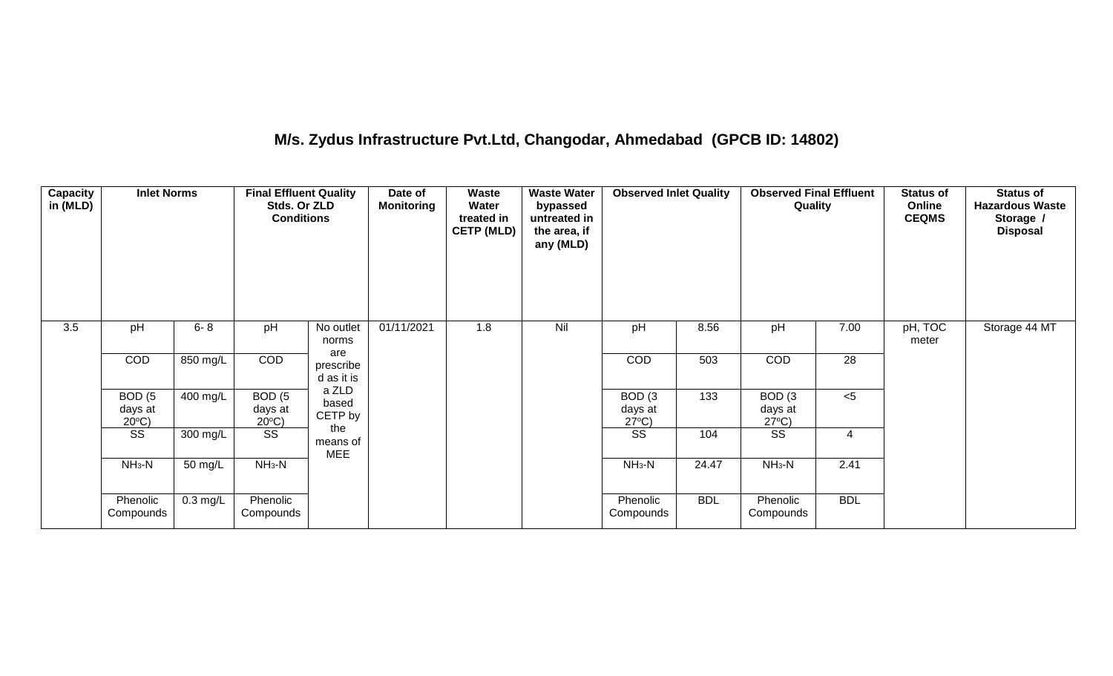## **M/s. Zydus Infrastructure Pvt.Ltd, Changodar, Ahmedabad (GPCB ID: 14802)**

| <b>Capacity</b><br>in (MLD) | <b>Inlet Norms</b>                              |                    | <b>Final Effluent Quality</b><br>Stds. Or ZLD<br><b>Conditions</b> |                           | Date of<br><b>Monitoring</b> | Waste<br>Water<br>treated in<br><b>CETP (MLD)</b> | <b>Waste Water</b><br>bypassed<br>untreated in<br>the area, if<br>any (MLD) | <b>Observed Inlet Quality</b>                   |            | <b>Observed Final Effluent</b><br>Quality       |            | <b>Status of</b><br>Online<br><b>CEQMS</b> | <b>Status of</b><br><b>Hazardous Waste</b><br>Storage /<br><b>Disposal</b> |
|-----------------------------|-------------------------------------------------|--------------------|--------------------------------------------------------------------|---------------------------|------------------------------|---------------------------------------------------|-----------------------------------------------------------------------------|-------------------------------------------------|------------|-------------------------------------------------|------------|--------------------------------------------|----------------------------------------------------------------------------|
| $\overline{3.5}$            | pH                                              | $6 - 8$            | pH                                                                 | No outlet<br>norms<br>are | 01/11/2021                   | 1.8                                               | Nil                                                                         | pH                                              | 8.56       | pH                                              | 7.00       | pH, TOC<br>meter                           | Storage 44 MT                                                              |
|                             | COD                                             | 850 mg/L           | COD                                                                | prescribe<br>d as it is   |                              |                                                   |                                                                             | COD                                             | 503        | COD                                             | 28         |                                            |                                                                            |
|                             | BOD <sub>(5</sub><br>days at<br>$20^{\circ}$ C) | 400 mg/L           | BOD <sub>(5</sub><br>days at<br>$20^{\circ}$ C)                    | a ZLD<br>based<br>CETP by |                              |                                                   |                                                                             | BOD <sub>(3</sub><br>days at<br>$27^{\circ}C$ ) | 133        | BOD <sub>(3</sub><br>days at<br>$27^{\circ}C$ ) | $<$ 5      |                                            |                                                                            |
|                             | SS                                              | 300 mg/L           | SS                                                                 | the<br>means of<br>MEE    |                              |                                                   |                                                                             | SS                                              | 104        | SS                                              | 4          |                                            |                                                                            |
|                             | $NH3-N$                                         | 50 mg/L            | $NH_3-N$                                                           |                           |                              |                                                   |                                                                             | $NH_3-N$                                        | 24.47      | $NH3-N$                                         | 2.41       |                                            |                                                                            |
|                             | Phenolic<br>Compounds                           | $0.3 \text{ mg/L}$ | Phenolic<br>Compounds                                              |                           |                              |                                                   |                                                                             | Phenolic<br>Compounds                           | <b>BDL</b> | Phenolic<br>Compounds                           | <b>BDL</b> |                                            |                                                                            |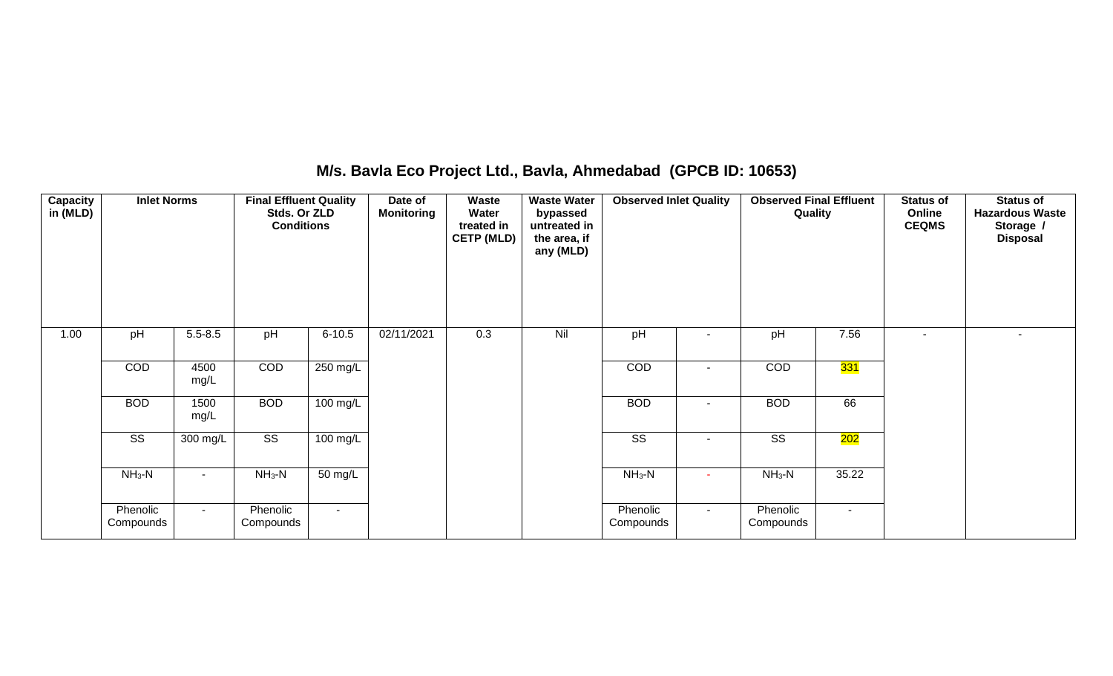## **M/s. Bavla Eco Project Ltd., Bavla, Ahmedabad (GPCB ID: 10653)**

| <b>Capacity</b><br>in (MLD) | <b>Inlet Norms</b>     |              | <b>Final Effluent Quality</b><br>Stds. Or ZLD<br><b>Conditions</b> |                    | Date of<br><b>Monitoring</b> | Waste<br>Water<br>treated in<br><b>CETP (MLD)</b> | <b>Waste Water</b><br>bypassed<br>untreated in<br>the area, if<br>any (MLD) | <b>Observed Inlet Quality</b> |                | <b>Observed Final Effluent</b><br>Quality |                  | <b>Status of</b><br>Online<br><b>CEQMS</b> | <b>Status of</b><br><b>Hazardous Waste</b><br>Storage /<br><b>Disposal</b> |
|-----------------------------|------------------------|--------------|--------------------------------------------------------------------|--------------------|------------------------------|---------------------------------------------------|-----------------------------------------------------------------------------|-------------------------------|----------------|-------------------------------------------|------------------|--------------------------------------------|----------------------------------------------------------------------------|
| 1.00                        | pH                     | $5.5 - 8.5$  | pH                                                                 | $6 - 10.5$         | 02/11/2021                   | 0.3                                               | Nil                                                                         | pH                            |                | pH                                        | 7.56             | $\overline{\phantom{a}}$                   |                                                                            |
|                             | COD                    | 4500<br>mg/L | COD                                                                | 250 mg/L           |                              |                                                   |                                                                             | COD                           | ۰              | COD                                       | <mark>331</mark> |                                            |                                                                            |
|                             | <b>BOD</b>             | 1500<br>mg/L | <b>BOD</b>                                                         | $100 \text{ mg/L}$ |                              |                                                   |                                                                             | <b>BOD</b>                    | ۰              | <b>BOD</b>                                | 66               |                                            |                                                                            |
|                             | $\overline{\text{ss}}$ | 300 mg/L     | $\overline{\text{ss}}$                                             | 100 mg/L           |                              |                                                   |                                                                             | $\overline{\text{ss}}$        | $\blacksquare$ | $\overline{\text{SS}}$                    | 202              |                                            |                                                                            |
|                             | $NH3-N$                | $\sim$       | $NH3-N$                                                            | 50 mg/L            |                              |                                                   |                                                                             | $NH3-N$                       | ٠              | $NH3-N$                                   | 35.22            |                                            |                                                                            |
|                             | Phenolic<br>Compounds  | $\sim$       | Phenolic<br>Compounds                                              | $\sim$             |                              |                                                   |                                                                             | Phenolic<br>Compounds         | $\sim$         | Phenolic<br>Compounds                     | $\sim$           |                                            |                                                                            |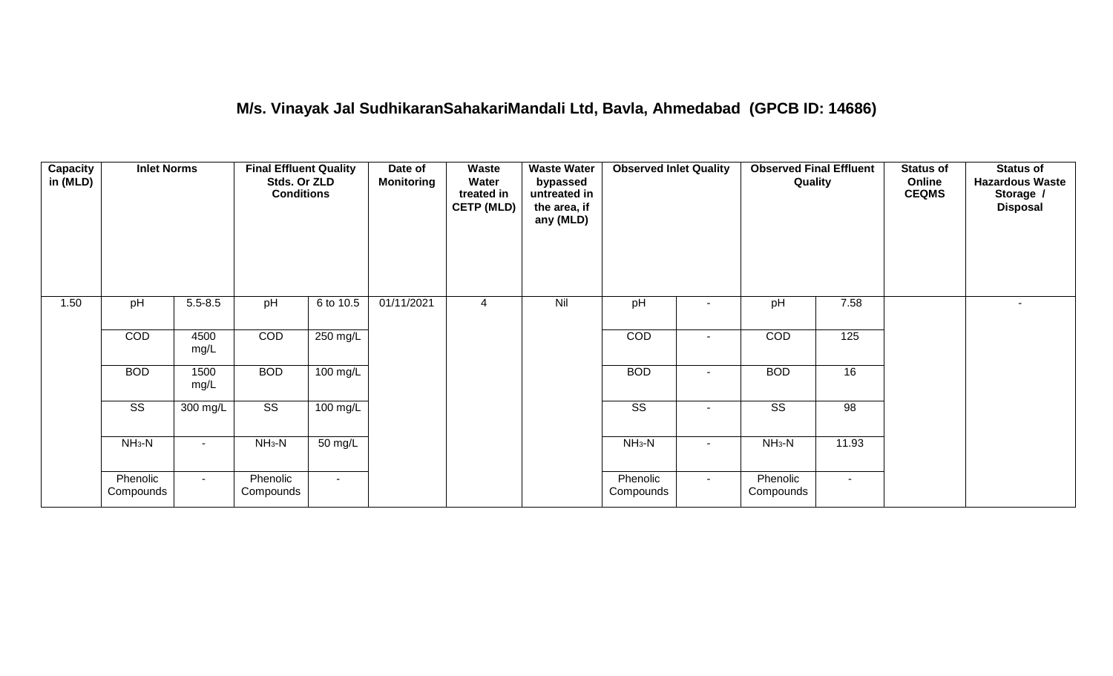## **M/s. Vinayak Jal SudhikaranSahakariMandali Ltd, Bavla, Ahmedabad (GPCB ID: 14686)**

| Capacity<br>in (MLD) | <b>Inlet Norms</b>     |              | <b>Final Effluent Quality</b><br>Stds. Or ZLD<br><b>Conditions</b> |                      | Date of<br><b>Monitoring</b> | Waste<br>Water<br>treated in<br><b>CETP (MLD)</b> | <b>Waste Water</b><br>bypassed<br>untreated in<br>the area, if<br>any (MLD) | <b>Observed Inlet Quality</b> |        | <b>Observed Final Effluent</b><br>Quality |        | <b>Status of</b><br>Online<br><b>CEQMS</b> | <b>Status of</b><br><b>Hazardous Waste</b><br>Storage /<br><b>Disposal</b> |
|----------------------|------------------------|--------------|--------------------------------------------------------------------|----------------------|------------------------------|---------------------------------------------------|-----------------------------------------------------------------------------|-------------------------------|--------|-------------------------------------------|--------|--------------------------------------------|----------------------------------------------------------------------------|
| 1.50                 | pH                     | $5.5 - 8.5$  | pH                                                                 | 6 to 10.5            | 01/11/2021                   | 4                                                 | Nil                                                                         | pH                            |        | pH                                        | 7.58   |                                            | $\sim$                                                                     |
|                      | COD                    | 4500<br>mg/L | COD                                                                | 250 mg/L             |                              |                                                   |                                                                             | COD                           |        | COD                                       | 125    |                                            |                                                                            |
|                      | <b>BOD</b>             | 1500<br>mg/L | <b>BOD</b>                                                         | 100 mg/L             |                              |                                                   |                                                                             | <b>BOD</b>                    | $\sim$ | <b>BOD</b>                                | 16     |                                            |                                                                            |
|                      | $\overline{\text{SS}}$ | 300 mg/L     | $\overline{\text{SS}}$                                             | $100 \text{ mg/L}$   |                              |                                                   |                                                                             | $\overline{\text{ss}}$        |        | $\overline{\text{ss}}$                    | 98     |                                            |                                                                            |
|                      | $NH3-N$                |              | $NH3-N$                                                            | $\overline{50}$ mg/L |                              |                                                   |                                                                             | $NH3-N$                       | $\sim$ | $NH3-N$                                   | 11.93  |                                            |                                                                            |
|                      | Phenolic<br>Compounds  | $\sim$       | Phenolic<br>Compounds                                              | $\sim$               |                              |                                                   |                                                                             | Phenolic<br>Compounds         | $\sim$ | Phenolic<br>Compounds                     | $\sim$ |                                            |                                                                            |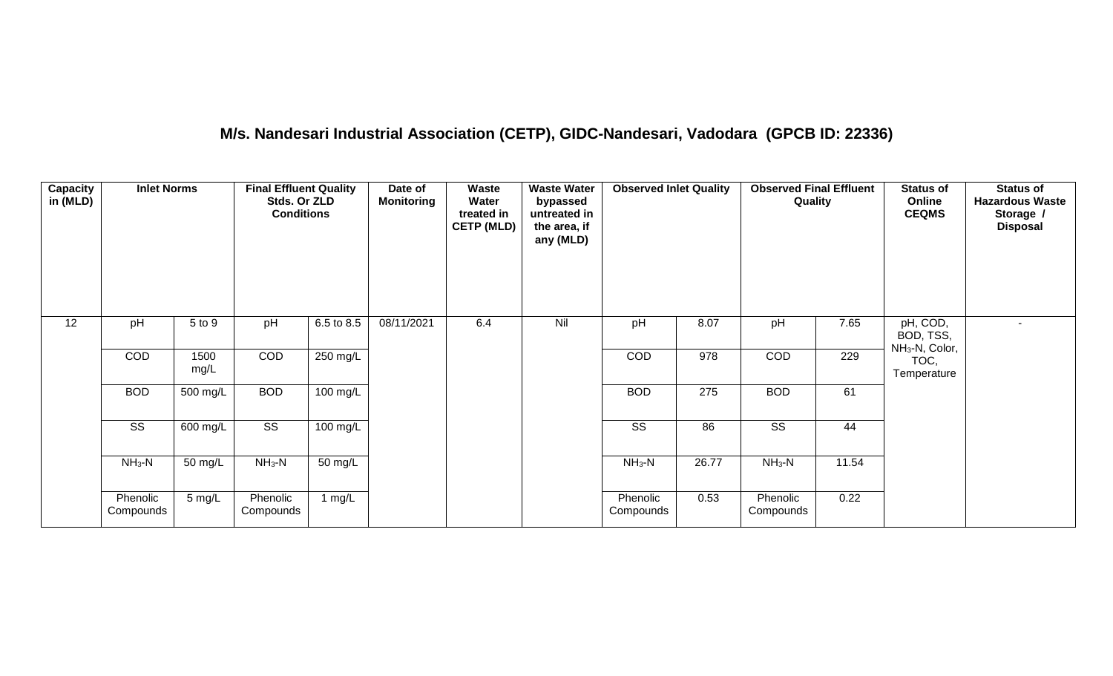## **M/s. Nandesari Industrial Association (CETP), GIDC-Nandesari, Vadodara (GPCB ID: 22336)**

| Capacity<br>in (MLD) | <b>Inlet Norms</b>     |              | <b>Final Effluent Quality</b><br>Stds. Or ZLD<br><b>Conditions</b> |                      | Date of<br><b>Monitoring</b> | <b>Waste</b><br>Water<br>treated in<br><b>CETP (MLD)</b> | <b>Waste Water</b><br>bypassed<br>untreated in<br>the area, if<br>any (MLD) | <b>Observed Inlet Quality</b> |                  | <b>Observed Final Effluent</b><br>Quality |       | <b>Status of</b><br>Online<br><b>CEQMS</b>          | <b>Status of</b><br><b>Hazardous Waste</b><br>Storage /<br><b>Disposal</b> |
|----------------------|------------------------|--------------|--------------------------------------------------------------------|----------------------|------------------------------|----------------------------------------------------------|-----------------------------------------------------------------------------|-------------------------------|------------------|-------------------------------------------|-------|-----------------------------------------------------|----------------------------------------------------------------------------|
| 12                   | pH                     | 5 to 9       | pH                                                                 | 6.5 to 8.5           | 08/11/2021                   | 6.4                                                      | Nil                                                                         | pH                            | 8.07             | pH                                        | 7.65  | pH, COD,<br>BOD, TSS,<br>NH <sub>3</sub> -N, Color, | $\sim$                                                                     |
|                      | COD                    | 1500<br>mg/L | COD                                                                | 250 mg/L             |                              |                                                          |                                                                             | COD                           | 978              | COD                                       | 229   | TOC,<br>Temperature                                 |                                                                            |
|                      | <b>BOD</b>             | 500 mg/L     | <b>BOD</b>                                                         | $100$ mg/L           |                              |                                                          |                                                                             | <b>BOD</b>                    | $\overline{275}$ | <b>BOD</b>                                | 61    |                                                     |                                                                            |
|                      | $\overline{\text{ss}}$ | 600 mg/L     | $\overline{\text{ss}}$                                             | $100 \text{ mg/L}$   |                              |                                                          |                                                                             | $\overline{\text{ss}}$        | 86               | $\overline{\text{ss}}$                    | 44    |                                                     |                                                                            |
|                      | $NH_3-N$               | 50 mg/L      | $NH3-N$                                                            | $\overline{50}$ mg/L |                              |                                                          |                                                                             | $NH3-N$                       | 26.77            | $NH_3-N$                                  | 11.54 |                                                     |                                                                            |
|                      | Phenolic<br>Compounds  | 5 mg/L       | Phenolic<br>Compounds                                              | 1 mg/L               |                              |                                                          |                                                                             | Phenolic<br>Compounds         | 0.53             | Phenolic<br>Compounds                     | 0.22  |                                                     |                                                                            |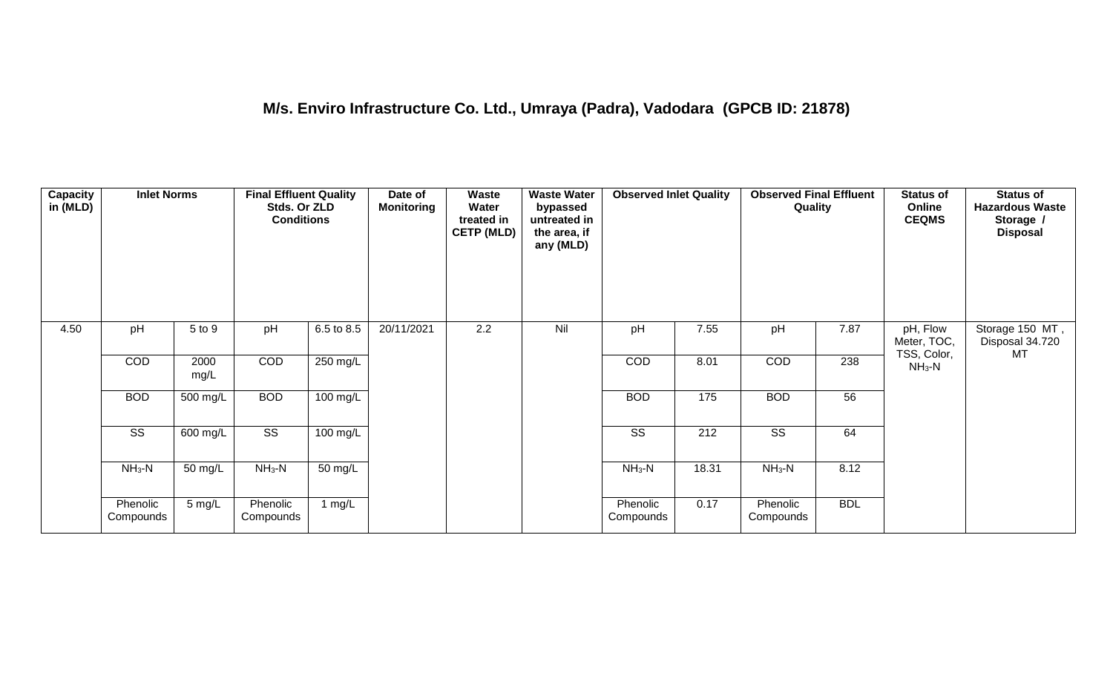| <b>Capacity</b><br>in (MLD) | <b>Inlet Norms</b>     |                       | <b>Final Effluent Quality</b><br>Stds. Or ZLD<br><b>Conditions</b> |                    | Date of<br><b>Monitoring</b> | Waste<br>Water<br>treated in<br><b>CETP (MLD)</b> | <b>Waste Water</b><br>bypassed<br>untreated in<br>the area, if<br>any (MLD) | <b>Observed Inlet Quality</b> |       | <b>Observed Final Effluent</b><br>Quality |            | <b>Status of</b><br>Online<br><b>CEQMS</b> | <b>Status of</b><br><b>Hazardous Waste</b><br>Storage /<br><b>Disposal</b> |
|-----------------------------|------------------------|-----------------------|--------------------------------------------------------------------|--------------------|------------------------------|---------------------------------------------------|-----------------------------------------------------------------------------|-------------------------------|-------|-------------------------------------------|------------|--------------------------------------------|----------------------------------------------------------------------------|
| 4.50                        | pH                     | 5 to 9                | pH                                                                 | 6.5 to 8.5         | 20/11/2021                   | 2.2                                               | Nil                                                                         | pH                            | 7.55  | pH                                        | 7.87       | pH, Flow<br>Meter, TOC,<br>TSS, Color,     | Storage 150 MT,<br>Disposal 34.720<br>МT                                   |
|                             | COD                    | 2000<br>mg/L          | COD                                                                | 250 mg/L           |                              |                                                   |                                                                             | COD                           | 8.01  | COD                                       | 238        | $NH3-N$                                    |                                                                            |
|                             | <b>BOD</b>             | 500 mg/L              | <b>BOD</b>                                                         | $100$ mg/L         |                              |                                                   |                                                                             | <b>BOD</b>                    | 175   | <b>BOD</b>                                | 56         |                                            |                                                                            |
|                             | $\overline{\text{SS}}$ | $\overline{600}$ mg/L | $\overline{\text{ss}}$                                             | $100 \text{ mg/L}$ |                              |                                                   |                                                                             | $\overline{\text{SS}}$        | 212   | $\overline{\text{ss}}$                    | 64         |                                            |                                                                            |
|                             | $NH3-N$                | 50 mg/L               | $NH_3-N$                                                           | 50 mg/L            |                              |                                                   |                                                                             | $NH3-N$                       | 18.31 | $NH3-N$                                   | 8.12       |                                            |                                                                            |
|                             | Phenolic<br>Compounds  | 5 mg/L                | Phenolic<br>Compounds                                              | 1 mg/L             |                              |                                                   |                                                                             | Phenolic<br>Compounds         | 0.17  | Phenolic<br>Compounds                     | <b>BDL</b> |                                            |                                                                            |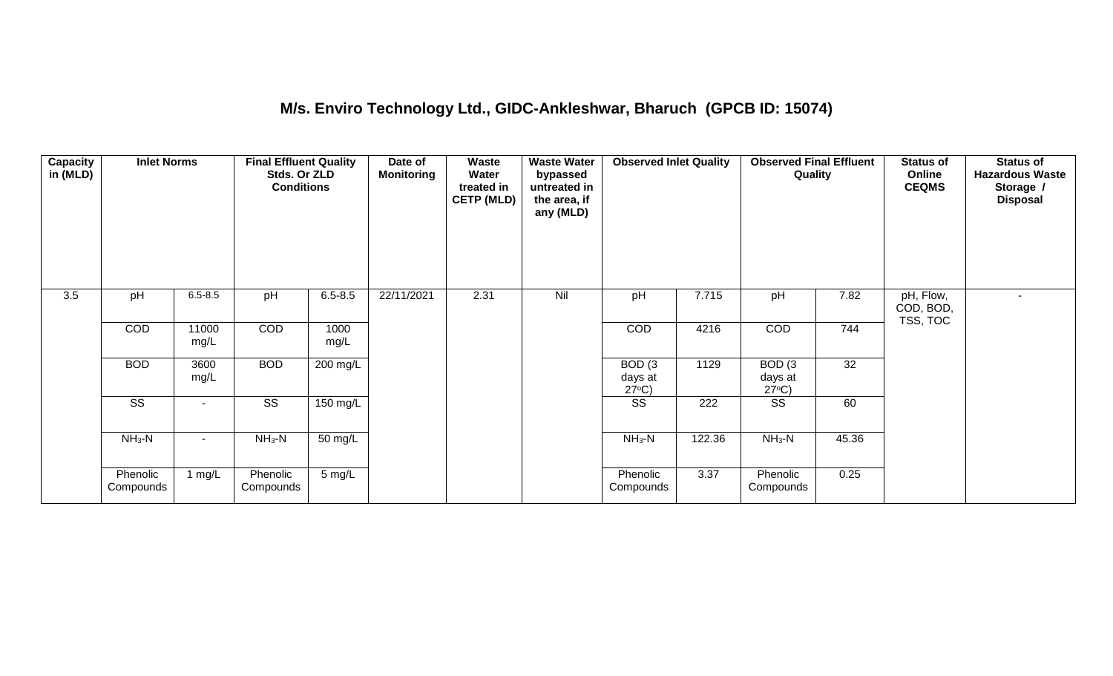## **M/s. Enviro Technology Ltd., GIDC-Ankleshwar, Bharuch (GPCB ID: 15074)**

| Capacity<br>in (MLD) | <b>Inlet Norms</b>     |               | <b>Final Effluent Quality</b><br>Stds. Or ZLD<br><b>Conditions</b> |                  | Date of<br><b>Monitoring</b> | <b>Waste</b><br>Water<br>treated in<br><b>CETP (MLD)</b> | <b>Waste Water</b><br>bypassed<br>untreated in<br>the area, if<br>any (MLD) | <b>Observed Inlet Quality</b>                   |        | <b>Observed Final Effluent</b><br>Quality       |       | <b>Status of</b><br>Online<br><b>CEQMS</b> | <b>Status of</b><br><b>Hazardous Waste</b><br>Storage /<br><b>Disposal</b> |
|----------------------|------------------------|---------------|--------------------------------------------------------------------|------------------|------------------------------|----------------------------------------------------------|-----------------------------------------------------------------------------|-------------------------------------------------|--------|-------------------------------------------------|-------|--------------------------------------------|----------------------------------------------------------------------------|
| 3.5                  | pH                     | $6.5 - 8.5$   | pH                                                                 | $6.5 - 8.5$      | 22/11/2021                   | 2.31                                                     | Nil                                                                         | pH                                              | 7.715  | pH                                              | 7.82  | pH, Flow,<br>COD, BOD,<br>TSS, TOC         | $\blacksquare$                                                             |
|                      | COD                    | 11000<br>mg/L | <b>COD</b>                                                         | 1000<br>mg/L     |                              |                                                          |                                                                             | <b>COD</b>                                      | 4216   | <b>COD</b>                                      | 744   |                                            |                                                                            |
|                      | <b>BOD</b>             | 3600<br>mg/L  | <b>BOD</b>                                                         | 200 mg/L         |                              |                                                          |                                                                             | BOD <sub>(3</sub><br>days at<br>$27^{\circ}C$ ) | 1129   | BOD <sub>(3</sub><br>days at<br>$27^{\circ}C$ ) | 32    |                                            |                                                                            |
|                      | $\overline{\text{ss}}$ | $\sim$        | $\overline{\text{ss}}$                                             | 150 mg/L         |                              |                                                          |                                                                             | $\overline{\text{ss}}$                          | 222    | $\overline{\text{SS}}$                          | 60    |                                            |                                                                            |
|                      | $NH_3-N$               |               | $NH_3-N$                                                           | 50 mg/L          |                              |                                                          |                                                                             | $NH3-N$                                         | 122.36 | $NH_3-N$                                        | 45.36 |                                            |                                                                            |
|                      | Phenolic<br>Compounds  | 1 mg/ $L$     | Phenolic<br>Compounds                                              | $5 \text{ mg/L}$ |                              |                                                          |                                                                             | Phenolic<br>Compounds                           | 3.37   | Phenolic<br>Compounds                           | 0.25  |                                            |                                                                            |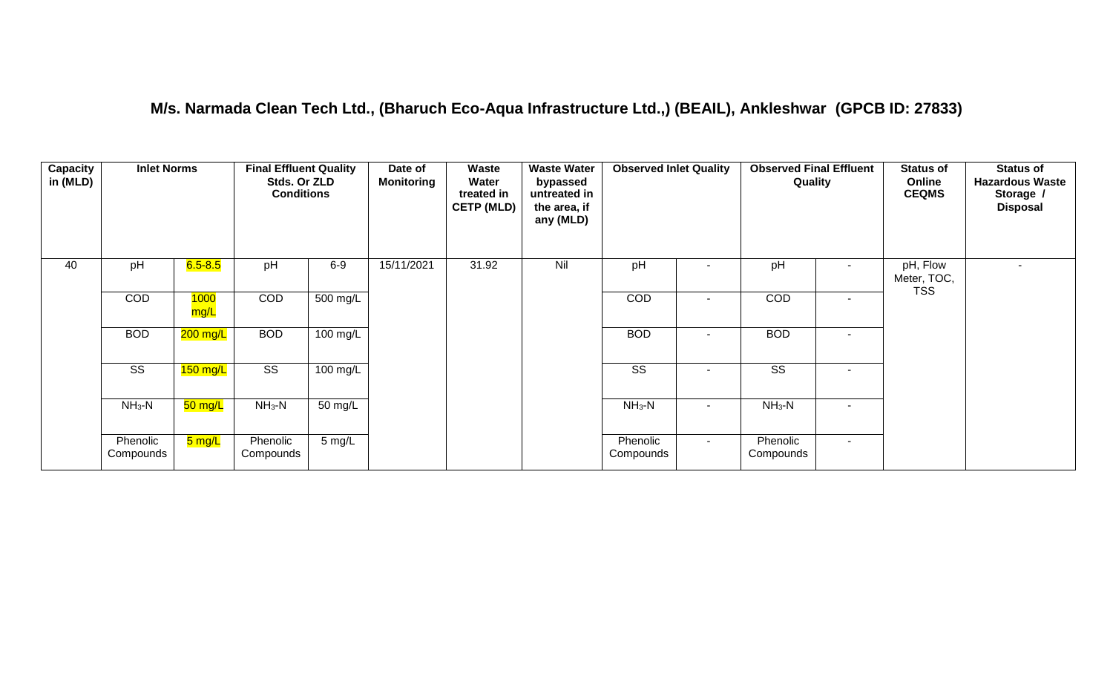#### **M/s. Narmada Clean Tech Ltd., (Bharuch Eco-Aqua Infrastructure Ltd.,) (BEAIL), Ankleshwar (GPCB ID: 27833)**

| Capacity<br>in (MLD) | <b>Inlet Norms</b>    |                     | <b>Final Effluent Quality</b><br>Stds. Or ZLD<br><b>Conditions</b> |                  | Date of<br><b>Monitoring</b> | Waste<br>Water<br>treated in<br><b>CETP (MLD)</b> | <b>Waste Water</b><br>bypassed<br>untreated in<br>the area, if<br>any (MLD) | <b>Observed Inlet Quality</b> |                | <b>Observed Final Effluent</b><br>Quality |                          | <b>Status of</b><br>Online<br><b>CEQMS</b> | <b>Status of</b><br><b>Hazardous Waste</b><br>Storage /<br><b>Disposal</b> |
|----------------------|-----------------------|---------------------|--------------------------------------------------------------------|------------------|------------------------------|---------------------------------------------------|-----------------------------------------------------------------------------|-------------------------------|----------------|-------------------------------------------|--------------------------|--------------------------------------------|----------------------------------------------------------------------------|
| 40                   | pH                    | $6.5 - 8.5$         | pH                                                                 | $6-9$            | 15/11/2021                   | 31.92                                             | Nil                                                                         | pH                            |                | pH                                        | $\blacksquare$           | pH, Flow<br>Meter, TOC,                    | $\sim$                                                                     |
|                      | COD                   | 1000<br>mg/L        | <b>COD</b>                                                         | 500 mg/L         |                              |                                                   |                                                                             | <b>COD</b>                    | $\sim$         | COD                                       | $\sim$                   | <b>TSS</b>                                 |                                                                            |
|                      | <b>BOD</b>            | 200 mg/L            | <b>BOD</b>                                                         | 100 mg/L         |                              |                                                   |                                                                             | <b>BOD</b>                    | ٠              | <b>BOD</b>                                | $\overline{\phantom{a}}$ |                                            |                                                                            |
|                      | SS                    | 150 mg/L            | SS                                                                 | 100 mg/L         |                              |                                                   |                                                                             | SS                            | $\sim$         | SS                                        | $\blacksquare$           |                                            |                                                                            |
|                      | $NH3-N$               | 50 mg/L             | $NH3-N$                                                            | 50 mg/L          |                              |                                                   |                                                                             | $NH3-N$                       | $\blacksquare$ | $NH3-N$                                   | $\overline{\phantom{a}}$ |                                            |                                                                            |
|                      | Phenolic<br>Compounds | <mark>5 mg/L</mark> | Phenolic<br>Compounds                                              | $5 \text{ mg/L}$ |                              |                                                   |                                                                             | Phenolic<br>Compounds         | $\sim$         | Phenolic<br>Compounds                     | $\blacksquare$           |                                            |                                                                            |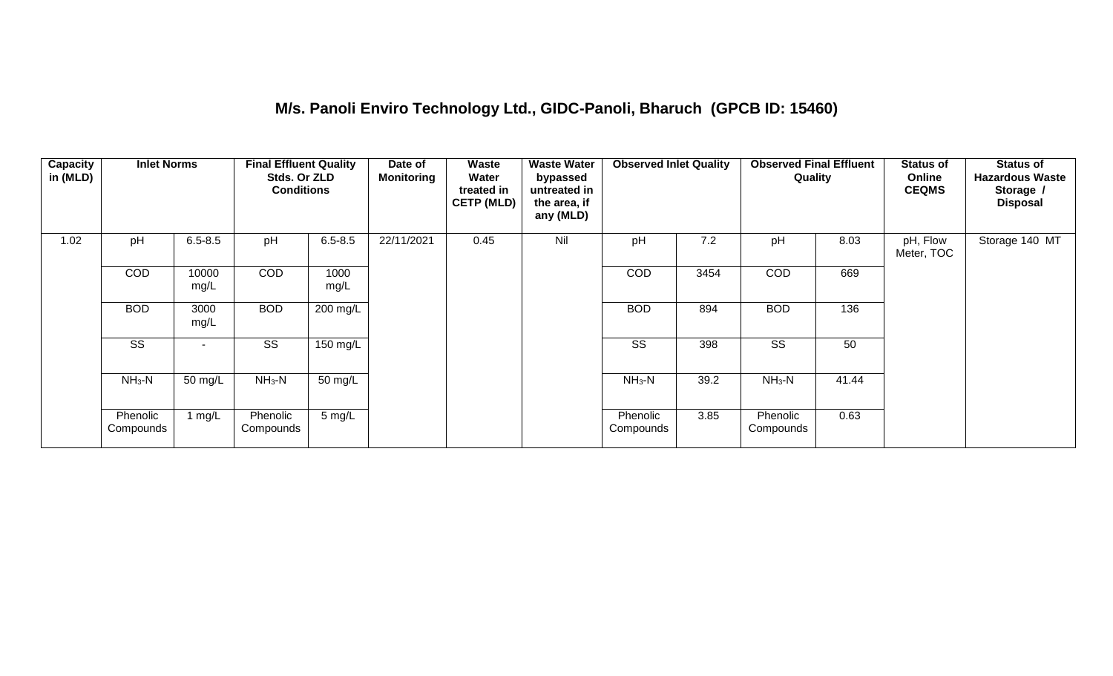#### **M/s. Panoli Enviro Technology Ltd., GIDC-Panoli, Bharuch (GPCB ID: 15460)**

| Capacity<br>in (MLD) | <b>Inlet Norms</b>    |                          | <b>Final Effluent Quality</b><br>Stds. Or ZLD<br><b>Conditions</b> |                  | Date of<br><b>Monitoring</b> | Waste<br>Water<br>treated in<br><b>CETP (MLD)</b> | <b>Waste Water</b><br>bypassed<br>untreated in<br>the area, if<br>any (MLD) | <b>Observed Inlet Quality</b> |      | <b>Observed Final Effluent</b><br>Quality |       | <b>Status of</b><br>Online<br><b>CEQMS</b> | <b>Status of</b><br><b>Hazardous Waste</b><br>Storage /<br><b>Disposal</b> |
|----------------------|-----------------------|--------------------------|--------------------------------------------------------------------|------------------|------------------------------|---------------------------------------------------|-----------------------------------------------------------------------------|-------------------------------|------|-------------------------------------------|-------|--------------------------------------------|----------------------------------------------------------------------------|
| 1.02                 | pH                    | $6.5 - 8.5$              | pH                                                                 | $6.5 - 8.5$      | 22/11/2021                   | 0.45                                              | Nil                                                                         | pH                            | 7.2  | pH                                        | 8.03  | pH, Flow<br>Meter, TOC                     | Storage 140 MT                                                             |
|                      | COD                   | 10000<br>mg/L            | <b>COD</b>                                                         | 1000<br>mg/L     |                              |                                                   |                                                                             | COD                           | 3454 | <b>COD</b>                                | 669   |                                            |                                                                            |
|                      | <b>BOD</b>            | 3000<br>mg/L             | <b>BOD</b>                                                         | 200 mg/L         |                              |                                                   |                                                                             | <b>BOD</b>                    | 894  | <b>BOD</b>                                | 136   |                                            |                                                                            |
|                      | SS                    | $\overline{\phantom{a}}$ | SS                                                                 | 150 mg/L         |                              |                                                   |                                                                             | SS                            | 398  | <b>SS</b>                                 | 50    |                                            |                                                                            |
|                      | $NH3-N$               | 50 mg/L                  | $NH3-N$                                                            | 50 mg/L          |                              |                                                   |                                                                             | $NH3-N$                       | 39.2 | $NH3-N$                                   | 41.44 |                                            |                                                                            |
|                      | Phenolic<br>Compounds | 1 $mg/L$                 | Phenolic<br>Compounds                                              | $5 \text{ mg/L}$ |                              |                                                   |                                                                             | Phenolic<br>Compounds         | 3.85 | Phenolic<br>Compounds                     | 0.63  |                                            |                                                                            |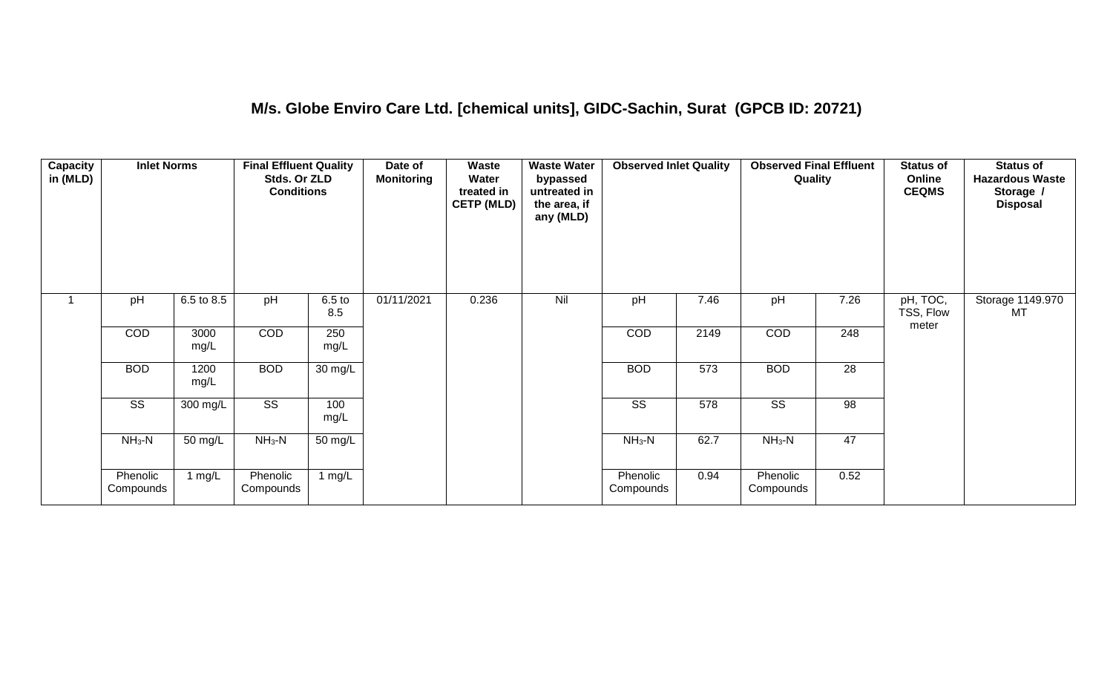#### **M/s. Globe Enviro Care Ltd. [chemical units], GIDC-Sachin, Surat (GPCB ID: 20721)**

| Capacity<br>in (MLD) | <b>Inlet Norms</b>     |              | <b>Final Effluent Quality</b><br>Stds. Or ZLD<br><b>Conditions</b> |                          | Date of<br>Monitoring | <b>Waste</b><br>Water<br>treated in<br><b>CETP (MLD)</b> | <b>Waste Water</b><br>bypassed<br>untreated in<br>the area, if<br>any (MLD) | <b>Observed Inlet Quality</b> |      | <b>Observed Final Effluent</b><br>Quality |      | <b>Status of</b><br>Online<br><b>CEQMS</b> | <b>Status of</b><br><b>Hazardous Waste</b><br>Storage /<br><b>Disposal</b> |
|----------------------|------------------------|--------------|--------------------------------------------------------------------|--------------------------|-----------------------|----------------------------------------------------------|-----------------------------------------------------------------------------|-------------------------------|------|-------------------------------------------|------|--------------------------------------------|----------------------------------------------------------------------------|
| $\overline{ }$       | pH                     | 6.5 to 8.5   | pH                                                                 | 6.5 <sub>to</sub><br>8.5 | 01/11/2021            | 0.236                                                    | Nil                                                                         | pH                            | 7.46 | pH                                        | 7.26 | pH, TOC,<br>TSS, Flow<br>meter             | Storage 1149.970<br>МT                                                     |
|                      | COD                    | 3000<br>mg/L | COD                                                                | 250<br>mg/L              |                       |                                                          |                                                                             | COD                           | 2149 | COD                                       | 248  |                                            |                                                                            |
|                      | <b>BOD</b>             | 1200<br>mg/L | <b>BOD</b>                                                         | 30 mg/L                  |                       |                                                          |                                                                             | <b>BOD</b>                    | 573  | <b>BOD</b>                                | 28   |                                            |                                                                            |
|                      | $\overline{\text{SS}}$ | 300 mg/L     | $\overline{\text{ss}}$                                             | 100<br>mg/L              |                       |                                                          |                                                                             | $\overline{\text{ss}}$        | 578  | $\overline{\text{ss}}$                    | 98   |                                            |                                                                            |
|                      | $NH_3-N$               | 50 mg/L      | $NH3-N$                                                            | 50 mg/L                  |                       |                                                          |                                                                             | $NH3-N$                       | 62.7 | $NH3-N$                                   | 47   |                                            |                                                                            |
|                      | Phenolic<br>Compounds  | 1 mg/L       | Phenolic<br>Compounds                                              | 1 mg/L                   |                       |                                                          |                                                                             | Phenolic<br>Compounds         | 0.94 | Phenolic<br>Compounds                     | 0.52 |                                            |                                                                            |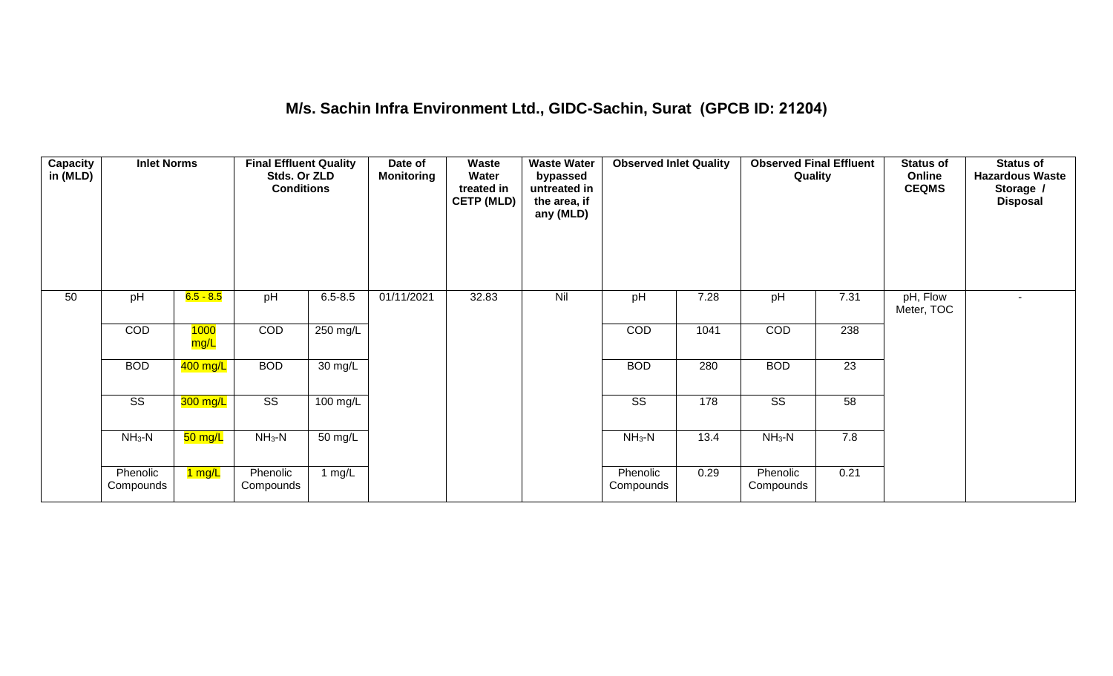#### **M/s. Sachin Infra Environment Ltd., GIDC-Sachin, Surat (GPCB ID: 21204)**

| Capacity<br>in (MLD) | <b>Inlet Norms</b>     |                        | <b>Final Effluent Quality</b><br>Stds. Or ZLD<br><b>Conditions</b> |                    | Date of<br><b>Monitoring</b> | <b>Waste</b><br>Water<br>treated in<br><b>CETP (MLD)</b> | <b>Waste Water</b><br>bypassed<br>untreated in<br>the area, if<br>any (MLD) | <b>Observed Inlet Quality</b> |      | <b>Observed Final Effluent</b><br>Quality |      | <b>Status of</b><br>Online<br><b>CEQMS</b> | <b>Status of</b><br><b>Hazardous Waste</b><br>Storage /<br><b>Disposal</b> |
|----------------------|------------------------|------------------------|--------------------------------------------------------------------|--------------------|------------------------------|----------------------------------------------------------|-----------------------------------------------------------------------------|-------------------------------|------|-------------------------------------------|------|--------------------------------------------|----------------------------------------------------------------------------|
| 50                   | pH                     | <mark>6.5 - 8.5</mark> | pH                                                                 | $6.5 - 8.5$        | 01/11/2021                   | 32.83                                                    | Nil                                                                         | pH                            | 7.28 | pH                                        | 7.31 | pH, Flow<br>Meter, TOC                     | $\blacksquare$                                                             |
|                      | COD                    | <b>1000</b><br>mg/L    | COD                                                                | 250 mg/L           |                              |                                                          |                                                                             | COD                           | 1041 | COD                                       | 238  |                                            |                                                                            |
|                      | <b>BOD</b>             | $400$ mg/L             | <b>BOD</b>                                                         | 30 mg/L            |                              |                                                          |                                                                             | <b>BOD</b>                    | 280  | <b>BOD</b>                                | 23   |                                            |                                                                            |
|                      | $\overline{\text{SS}}$ | 300 mg/L               | $\overline{\text{ss}}$                                             | $100 \text{ mg/L}$ |                              |                                                          |                                                                             | $\overline{\text{SS}}$        | 178  | $\overline{\text{SS}}$                    | 58   |                                            |                                                                            |
|                      | $NH3-N$                | 50 mg/L                | $NH_3-N$                                                           | 50 mg/L            |                              |                                                          |                                                                             | $NH3-N$                       | 13.4 | $NH3-N$                                   | 7.8  |                                            |                                                                            |
|                      | Phenolic<br>Compounds  | 1 mg/L                 | Phenolic<br>Compounds                                              | 1 mg/L             |                              |                                                          |                                                                             | Phenolic<br>Compounds         | 0.29 | Phenolic<br>Compounds                     | 0.21 |                                            |                                                                            |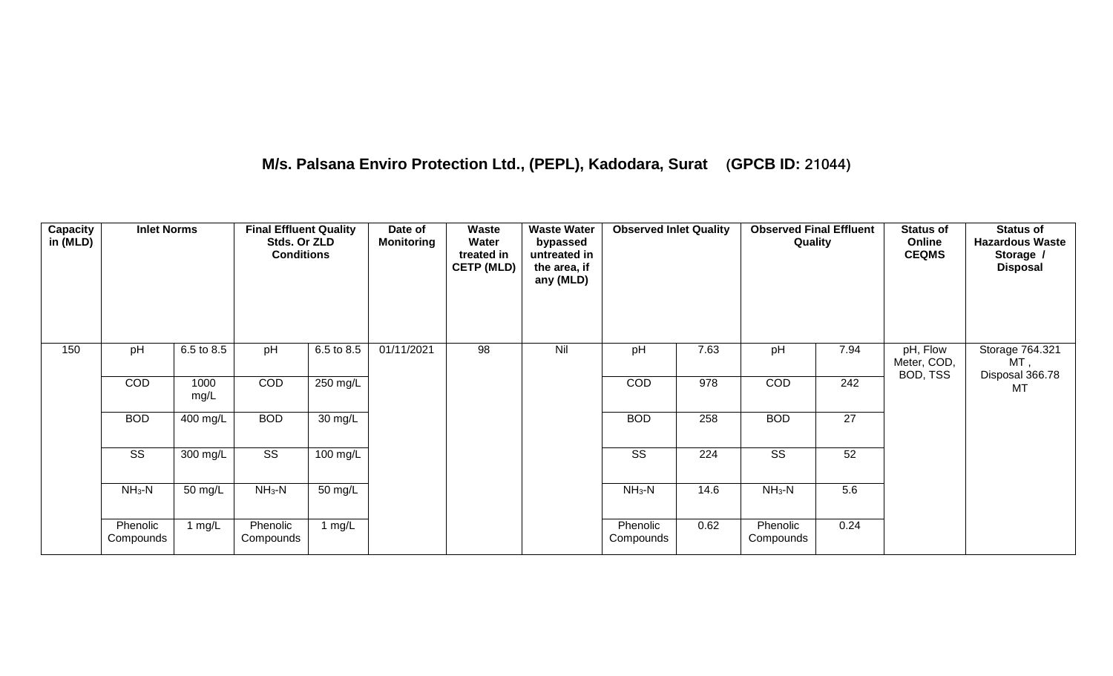#### **M/s. Palsana Enviro Protection Ltd., (PEPL), Kadodara, Surat (GPCB ID: 21044)**

| Capacity<br>in (MLD) | <b>Inlet Norms</b>     |              | <b>Final Effluent Quality</b><br>Stds. Or ZLD<br><b>Conditions</b> |            | Date of<br>Monitoring | Waste<br>Water<br>treated in<br><b>CETP (MLD)</b> | <b>Waste Water</b><br>bypassed<br>untreated in<br>the area, if<br>any (MLD) | <b>Observed Inlet Quality</b> |      | <b>Observed Final Effluent</b><br>Quality |      | <b>Status of</b><br>Online<br><b>CEQMS</b> | <b>Status of</b><br><b>Hazardous Waste</b><br>Storage /<br><b>Disposal</b> |
|----------------------|------------------------|--------------|--------------------------------------------------------------------|------------|-----------------------|---------------------------------------------------|-----------------------------------------------------------------------------|-------------------------------|------|-------------------------------------------|------|--------------------------------------------|----------------------------------------------------------------------------|
| 150                  | pH                     | 6.5 to 8.5   | pH                                                                 | 6.5 to 8.5 | 01/11/2021            | 98                                                | Nil                                                                         | pH                            | 7.63 | pH                                        | 7.94 | pH, Flow<br>Meter, COD,<br>BOD, TSS        | Storage 764.321<br>MT ,                                                    |
|                      | COD                    | 1000<br>mg/L | COD                                                                | 250 mg/L   |                       |                                                   |                                                                             | COD                           | 978  | COD                                       | 242  |                                            | Disposal 366.78<br>MT                                                      |
|                      | <b>BOD</b>             | 400 mg/L     | <b>BOD</b>                                                         | 30 mg/L    |                       |                                                   |                                                                             | <b>BOD</b>                    | 258  | <b>BOD</b>                                | 27   |                                            |                                                                            |
|                      | $\overline{\text{SS}}$ | 300 mg/L     | $\overline{\text{ss}}$                                             | $100$ mg/L |                       |                                                   |                                                                             | $\overline{\text{ss}}$        | 224  | $\overline{\text{SS}}$                    | 52   |                                            |                                                                            |
|                      | $NH3-N$                | 50 mg/L      | $NH3-N$                                                            | 50 mg/L    |                       |                                                   |                                                                             | $NH3-N$                       | 14.6 | $NH3-N$                                   | 5.6  |                                            |                                                                            |
|                      | Phenolic<br>Compounds  | 1 mg/L       | Phenolic<br>Compounds                                              | 1 mg/L     |                       |                                                   |                                                                             | Phenolic<br>Compounds         | 0.62 | Phenolic<br>Compounds                     | 0.24 |                                            |                                                                            |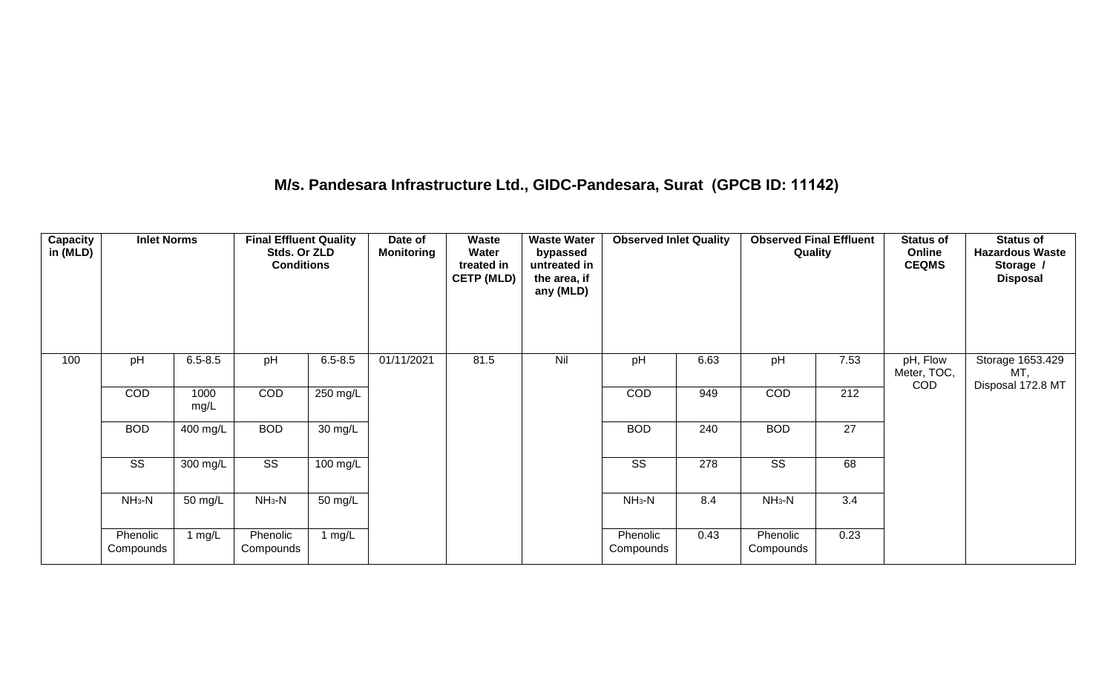#### **M/s. Pandesara Infrastructure Ltd., GIDC-Pandesara, Surat (GPCB ID: 11142)**

| Capacity<br>in (MLD) | <b>Inlet Norms</b>     |              | <b>Final Effluent Quality</b><br>Stds. Or ZLD<br><b>Conditions</b> |                    | Date of<br><b>Monitoring</b> | <b>Waste</b><br>Water<br>treated in<br><b>CETP (MLD)</b> | <b>Waste Water</b><br>bypassed<br>untreated in<br>the area, if<br>any (MLD) | <b>Observed Inlet Quality</b> |      | <b>Observed Final Effluent</b><br>Quality |      | <b>Status of</b><br>Online<br><b>CEQMS</b> | <b>Status of</b><br><b>Hazardous Waste</b><br>Storage /<br><b>Disposal</b> |
|----------------------|------------------------|--------------|--------------------------------------------------------------------|--------------------|------------------------------|----------------------------------------------------------|-----------------------------------------------------------------------------|-------------------------------|------|-------------------------------------------|------|--------------------------------------------|----------------------------------------------------------------------------|
| 100                  | pH                     | $6.5 - 8.5$  | pH                                                                 | $6.5 - 8.5$        | 01/11/2021                   | 81.5                                                     | Nil                                                                         | pH                            | 6.63 | pH                                        | 7.53 | pH, Flow<br>Meter, TOC,                    | Storage 1653.429<br>MT,                                                    |
|                      | COD                    | 1000<br>mg/L | COD                                                                | $250$ mg/L         |                              |                                                          |                                                                             | COD                           | 949  | COD                                       | 212  | COD                                        | Disposal 172.8 MT                                                          |
|                      | <b>BOD</b>             | 400 mg/L     | <b>BOD</b>                                                         | 30 mg/L            |                              |                                                          |                                                                             | <b>BOD</b>                    | 240  | <b>BOD</b>                                | 27   |                                            |                                                                            |
|                      | $\overline{\text{ss}}$ | 300 mg/L     | $\overline{\text{ss}}$                                             | $100 \text{ mg/L}$ |                              |                                                          |                                                                             | SS                            | 278  | $\overline{\text{SS}}$                    | 68   |                                            |                                                                            |
|                      | $NH3-N$                | 50 mg/L      | $NH_3-N$                                                           | 50 mg/L            |                              |                                                          |                                                                             | $NH_3-N$                      | 8.4  | $NH3-N$                                   | 3.4  |                                            |                                                                            |
|                      | Phenolic<br>Compounds  | 1 $mg/L$     | Phenolic<br>Compounds                                              | 1 $mg/L$           |                              |                                                          |                                                                             | Phenolic<br>Compounds         | 0.43 | Phenolic<br>Compounds                     | 0.23 |                                            |                                                                            |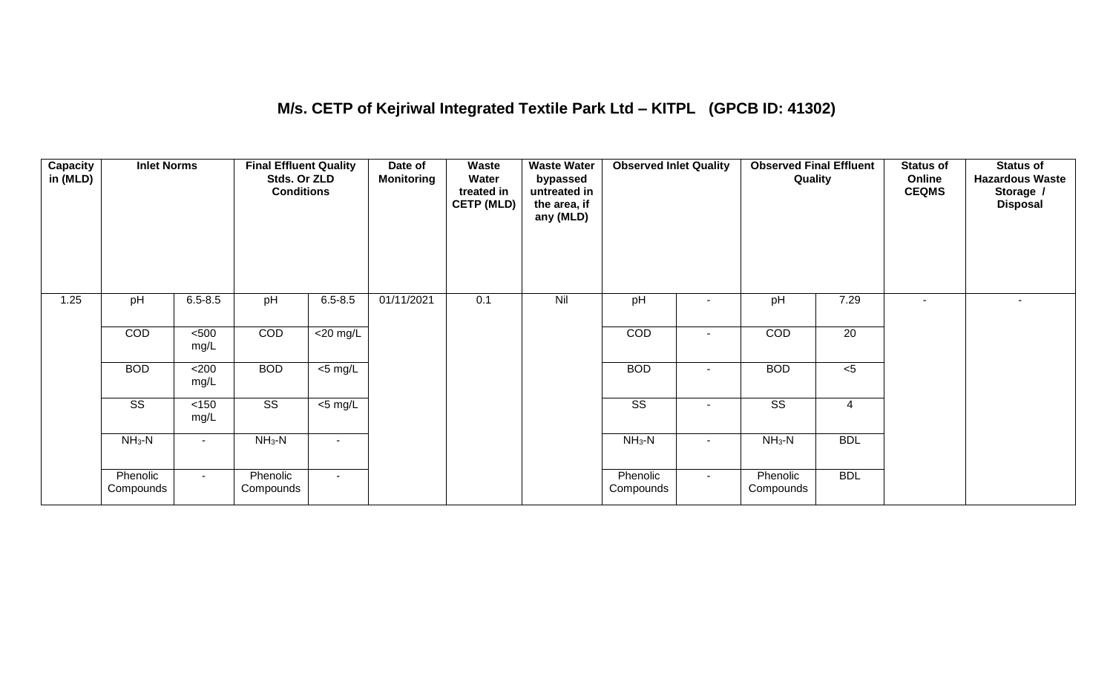#### **M/s. CETP of Kejriwal Integrated Textile Park Ltd – KITPL (GPCB ID: 41302)**

| Capacity<br>in (MLD) | <b>Inlet Norms</b>     |               | <b>Final Effluent Quality</b><br>Stds. Or ZLD<br><b>Conditions</b> |                | Date of<br><b>Monitoring</b> | Waste<br>Water<br>treated in<br><b>CETP (MLD)</b> | <b>Waste Water</b><br>bypassed<br>untreated in<br>the area, if<br>any (MLD) | <b>Observed Inlet Quality</b> |                          | <b>Observed Final Effluent</b><br>Quality |                | <b>Status of</b><br>Online<br><b>CEQMS</b> | <b>Status of</b><br><b>Hazardous Waste</b><br>Storage /<br><b>Disposal</b> |
|----------------------|------------------------|---------------|--------------------------------------------------------------------|----------------|------------------------------|---------------------------------------------------|-----------------------------------------------------------------------------|-------------------------------|--------------------------|-------------------------------------------|----------------|--------------------------------------------|----------------------------------------------------------------------------|
| 1.25                 | pH                     | $6.5 - 8.5$   | pH                                                                 | $6.5 - 8.5$    | 01/11/2021                   | 0.1                                               | Nil                                                                         | pH                            |                          | pH                                        | 7.29           | $\blacksquare$                             | $\overline{\phantom{a}}$                                                   |
|                      | COD                    | $500$<br>mg/L | COD                                                                | $<$ 20 mg/L    |                              |                                                   |                                                                             | COD                           |                          | <b>COD</b>                                | 20             |                                            |                                                                            |
|                      | <b>BOD</b>             | $200$<br>mg/L | <b>BOD</b>                                                         | $<$ 5 mg/L     |                              |                                                   |                                                                             | <b>BOD</b>                    | $\blacksquare$           | <b>BOD</b>                                | $<$ 5          |                                            |                                                                            |
|                      | $\overline{\text{ss}}$ | < 150<br>mg/L | $\overline{\text{ss}}$                                             | $<$ 5 mg/L     |                              |                                                   |                                                                             | $\overline{\text{ss}}$        | $\overline{\phantom{a}}$ | $\overline{\text{SS}}$                    | $\overline{4}$ |                                            |                                                                            |
|                      | $NH3-N$                |               | $NH3-N$                                                            | $\blacksquare$ |                              |                                                   |                                                                             | $NH3-N$                       | $\overline{\phantom{0}}$ | $NH_3-N$                                  | <b>BDL</b>     |                                            |                                                                            |
|                      | Phenolic<br>Compounds  | $\sim$        | Phenolic<br>Compounds                                              | $\sim$         |                              |                                                   |                                                                             | Phenolic<br>Compounds         | $\sim$                   | Phenolic<br>Compounds                     | <b>BDL</b>     |                                            |                                                                            |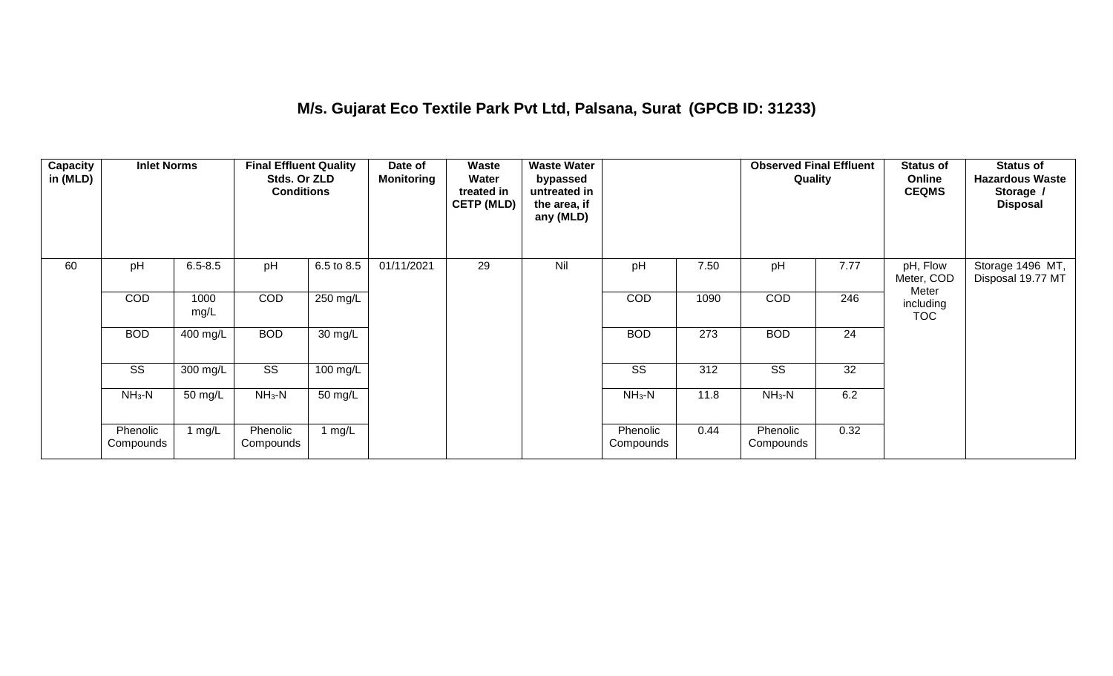## **M/s. Gujarat Eco Textile Park Pvt Ltd, Palsana, Surat (GPCB ID: 31233)**

| Capacity<br>in (MLD) | <b>Inlet Norms</b>    |              | <b>Final Effluent Quality</b><br>Stds. Or ZLD<br><b>Conditions</b> |            | Date of<br><b>Monitoring</b> | Waste<br>Water<br>treated in<br><b>CETP (MLD)</b> | <b>Waste Water</b><br>bypassed<br>untreated in<br>the area, if<br>any (MLD) |                       |      | <b>Observed Final Effluent</b><br>Quality |      | <b>Status of</b><br>Online<br><b>CEQMS</b> | <b>Status of</b><br><b>Hazardous Waste</b><br>Storage /<br><b>Disposal</b> |
|----------------------|-----------------------|--------------|--------------------------------------------------------------------|------------|------------------------------|---------------------------------------------------|-----------------------------------------------------------------------------|-----------------------|------|-------------------------------------------|------|--------------------------------------------|----------------------------------------------------------------------------|
| 60                   | pH                    | $6.5 - 8.5$  | pH                                                                 | 6.5 to 8.5 | 01/11/2021                   | 29                                                | Nil                                                                         | pH                    | 7.50 | pH                                        | 7.77 | pH, Flow<br>Meter, COD<br>Meter            | Storage 1496 MT,<br>Disposal 19.77 MT                                      |
|                      | COD                   | 1000<br>mg/L | COD                                                                | 250 mg/L   |                              |                                                   |                                                                             | COD                   | 1090 | COD                                       | 246  | including<br><b>TOC</b>                    |                                                                            |
|                      | <b>BOD</b>            | 400 mg/L     | <b>BOD</b>                                                         | 30 mg/L    |                              |                                                   |                                                                             | <b>BOD</b>            | 273  | <b>BOD</b>                                | 24   |                                            |                                                                            |
|                      | SS                    | 300 mg/L     | SS                                                                 | 100 mg/L   |                              |                                                   |                                                                             | SS                    | 312  | SS                                        | 32   |                                            |                                                                            |
|                      | $NH3-N$               | 50 mg/L      | $NH3-N$                                                            | 50 mg/L    |                              |                                                   |                                                                             | $NH3-N$               | 11.8 | $NH3-N$                                   | 6.2  |                                            |                                                                            |
|                      | Phenolic<br>Compounds | 1 $mg/L$     | Phenolic<br>Compounds                                              | 1 mg/L     |                              |                                                   |                                                                             | Phenolic<br>Compounds | 0.44 | Phenolic<br>Compounds                     | 0.32 |                                            |                                                                            |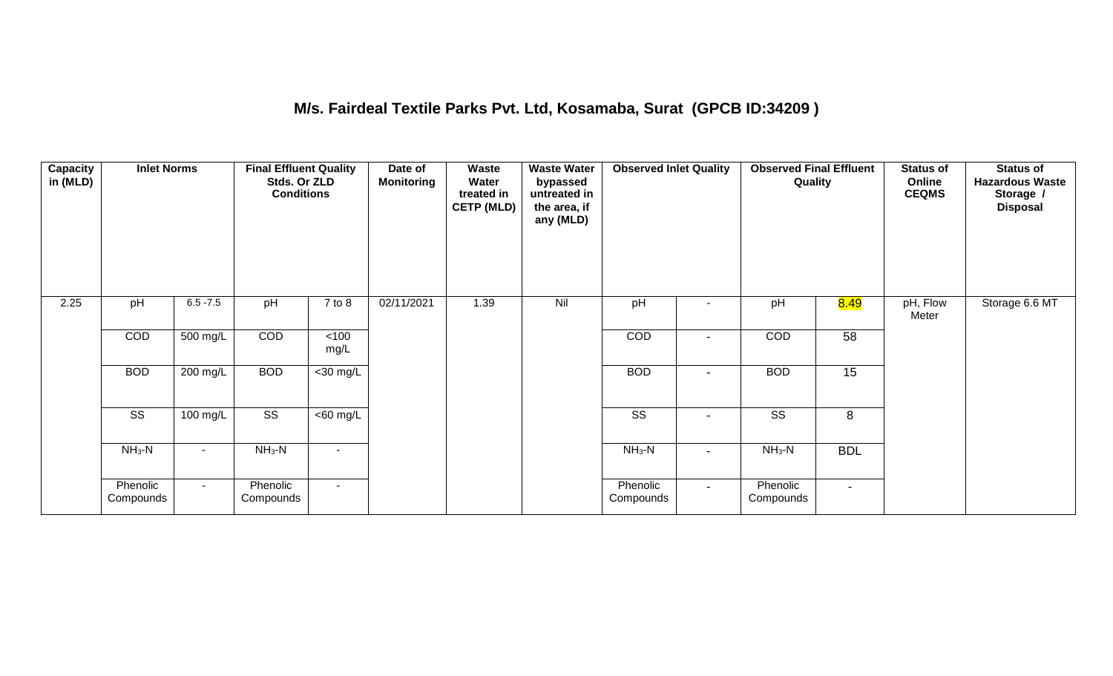## **M/s. Fairdeal Textile Parks Pvt. Ltd, Kosamaba, Surat (GPCB ID:34209 )**

| <b>Capacity</b><br>in (MLD) | <b>Inlet Norms</b>    |             | <b>Final Effluent Quality</b><br>Stds. Or ZLD<br><b>Conditions</b> |                       | Date of<br><b>Monitoring</b> | Waste<br>Water<br>treated in<br><b>CETP (MLD)</b> | <b>Waste Water</b><br>bypassed<br>untreated in<br>the area, if<br>any (MLD) | <b>Observed Inlet Quality</b> |                | <b>Observed Final Effluent</b><br>Quality |                | <b>Status of</b><br>Online<br><b>CEQMS</b> | <b>Status of</b><br><b>Hazardous Waste</b><br>Storage /<br><b>Disposal</b> |
|-----------------------------|-----------------------|-------------|--------------------------------------------------------------------|-----------------------|------------------------------|---------------------------------------------------|-----------------------------------------------------------------------------|-------------------------------|----------------|-------------------------------------------|----------------|--------------------------------------------|----------------------------------------------------------------------------|
| 2.25                        | pH                    | $6.5 - 7.5$ | pH                                                                 | $7$ to $8$            | 02/11/2021                   | 1.39                                              | Nil                                                                         | pH                            |                | pH                                        | 8.49           | pH, Flow<br>Meter                          | Storage 6.6 MT                                                             |
|                             | COD                   | 500 mg/L    | COD                                                                | $<$ 100<br>mg/L       |                              |                                                   |                                                                             | COD                           |                | COD                                       | 58             |                                            |                                                                            |
|                             | <b>BOD</b>            | $200$ mg/L  | <b>BOD</b>                                                         | $<$ 30 mg/L           |                              |                                                   |                                                                             | <b>BOD</b>                    | $\blacksquare$ | <b>BOD</b>                                | 15             |                                            |                                                                            |
|                             | SS                    | 100 mg/L    | SS                                                                 | $\overline{<}60$ mg/L |                              |                                                   |                                                                             | SS                            | $\blacksquare$ | SS                                        | 8              |                                            |                                                                            |
|                             | $NH_3-N$              | $\sim$      | $NH_3-N$                                                           | $\blacksquare$        |                              |                                                   |                                                                             | $NH3-N$                       | $\blacksquare$ | $NH3-N$                                   | <b>BDL</b>     |                                            |                                                                            |
|                             | Phenolic<br>Compounds | $\sim$      | Phenolic<br>Compounds                                              | $\sim$                |                              |                                                   |                                                                             | Phenolic<br>Compounds         | $\sim$         | Phenolic<br>Compounds                     | $\blacksquare$ |                                            |                                                                            |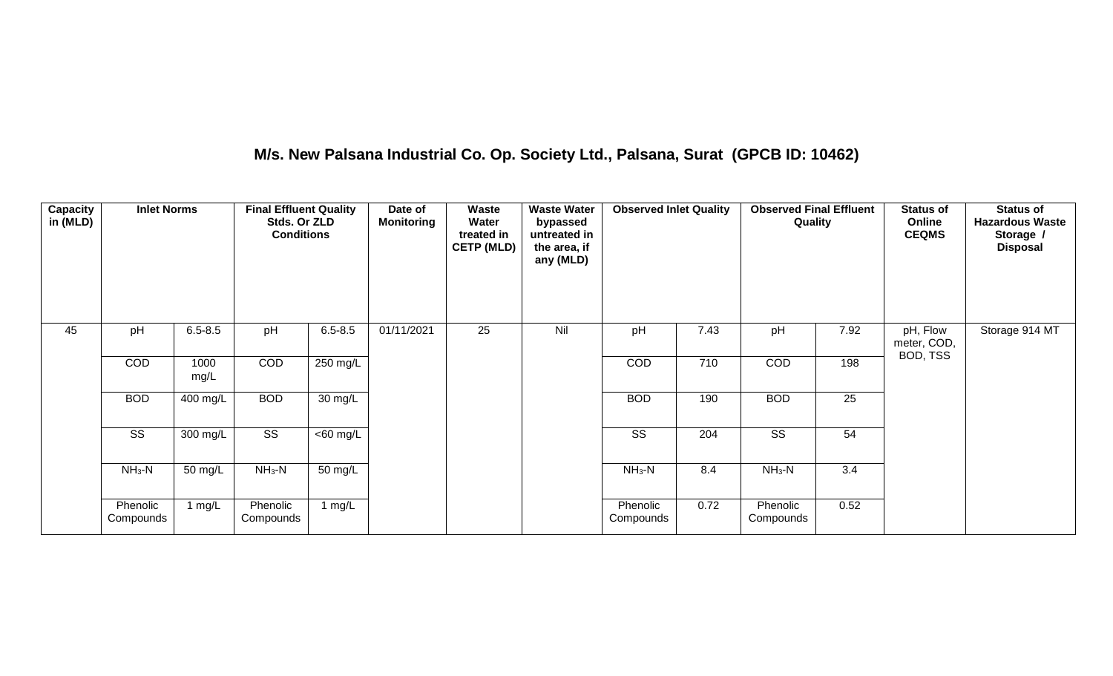## **M/s. New Palsana Industrial Co. Op. Society Ltd., Palsana, Surat (GPCB ID: 10462)**

| Capacity<br>in (MLD) | <b>Inlet Norms</b>    |              | <b>Final Effluent Quality</b><br>Stds. Or ZLD<br><b>Conditions</b> |             | Date of<br><b>Monitoring</b> | Waste<br>Water<br>treated in<br><b>CETP (MLD)</b> | <b>Waste Water</b><br>bypassed<br>untreated in<br>the area, if<br>any (MLD) | <b>Observed Inlet Quality</b> |      | <b>Observed Final Effluent</b><br>Quality |      | <b>Status of</b><br>Online<br><b>CEQMS</b> | <b>Status of</b><br><b>Hazardous Waste</b><br>Storage /<br><b>Disposal</b> |
|----------------------|-----------------------|--------------|--------------------------------------------------------------------|-------------|------------------------------|---------------------------------------------------|-----------------------------------------------------------------------------|-------------------------------|------|-------------------------------------------|------|--------------------------------------------|----------------------------------------------------------------------------|
| 45                   | pH                    | $6.5 - 8.5$  | pH                                                                 | $6.5 - 8.5$ | 01/11/2021                   | 25                                                | Nil                                                                         | pH                            | 7.43 | pH                                        | 7.92 | pH, Flow<br>meter, COD,                    | Storage 914 MT                                                             |
|                      | COD                   | 1000<br>mg/L | COD                                                                | 250 mg/L    |                              |                                                   |                                                                             | <b>COD</b>                    | 710  | COD                                       | 198  | BOD, TSS                                   |                                                                            |
|                      | <b>BOD</b>            | 400 mg/L     | <b>BOD</b>                                                         | 30 mg/L     |                              |                                                   |                                                                             | <b>BOD</b>                    | 190  | <b>BOD</b>                                | 25   |                                            |                                                                            |
|                      | SS                    | 300 mg/L     | SS                                                                 | $<$ 60 mg/L |                              |                                                   |                                                                             | SS                            | 204  | SS                                        | 54   |                                            |                                                                            |
|                      | $NH_3-N$              | 50 mg/L      | $NH3-N$                                                            | 50 mg/L     |                              |                                                   |                                                                             | $NH3-N$                       | 8.4  | $NH3-N$                                   | 3.4  |                                            |                                                                            |
|                      | Phenolic<br>Compounds | 1 $mg/L$     | Phenolic<br>Compounds                                              | 1 mg/L      |                              |                                                   |                                                                             | Phenolic<br>Compounds         | 0.72 | Phenolic<br>Compounds                     | 0.52 |                                            |                                                                            |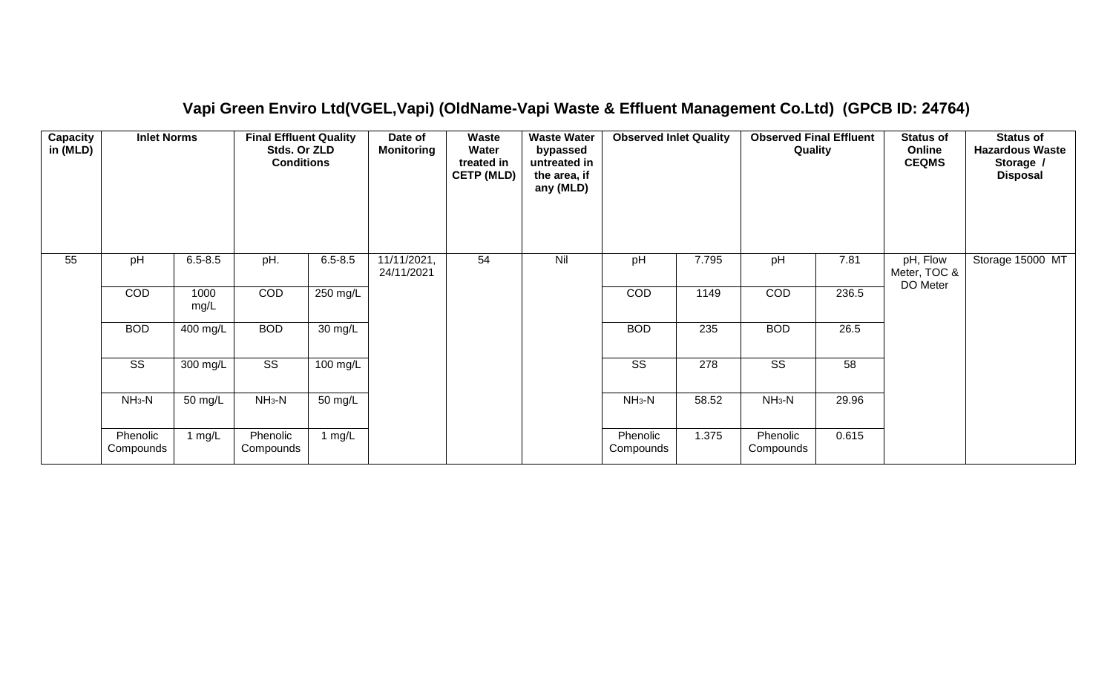| Capacity<br>in (MLD) | <b>Inlet Norms</b>     |              | <b>Final Effluent Quality</b><br>Stds. Or ZLD<br><b>Conditions</b> |                   | Date of<br><b>Monitoring</b> | Waste<br>Water<br>treated in<br><b>CETP (MLD)</b> | <b>Waste Water</b><br>bypassed<br>untreated in<br>the area, if<br>any (MLD) | <b>Observed Inlet Quality</b> |       | <b>Observed Final Effluent</b><br>Quality |       | <b>Status of</b><br>Online<br><b>CEQMS</b> | <b>Status of</b><br><b>Hazardous Waste</b><br>Storage /<br><b>Disposal</b> |
|----------------------|------------------------|--------------|--------------------------------------------------------------------|-------------------|------------------------------|---------------------------------------------------|-----------------------------------------------------------------------------|-------------------------------|-------|-------------------------------------------|-------|--------------------------------------------|----------------------------------------------------------------------------|
| 55                   | pH                     | $6.5 - 8.5$  | pH.                                                                | $6.5 - 8.5$       | 11/11/2021,<br>24/11/2021    | 54                                                | Nil                                                                         | pH                            | 7.795 | pH                                        | 7.81  | pH, Flow<br>Meter, TOC &<br>DO Meter       | Storage 15000 MT                                                           |
|                      | COD                    | 1000<br>mg/L | COD                                                                | 250 mg/L          |                              |                                                   |                                                                             | COD                           | 1149  | COD                                       | 236.5 |                                            |                                                                            |
|                      | <b>BOD</b>             | $400$ mg/L   | <b>BOD</b>                                                         | $30 \text{ mg/L}$ |                              |                                                   |                                                                             | <b>BOD</b>                    | 235   | <b>BOD</b>                                | 26.5  |                                            |                                                                            |
|                      | $\overline{\text{ss}}$ | 300 mg/L     | $\overline{\text{ss}}$                                             | 100 mg/L          |                              |                                                   |                                                                             | $\overline{\text{SS}}$        | 278   | $\overline{\text{SS}}$                    | 58    |                                            |                                                                            |
|                      | $NH_3-N$               | 50 mg/L      | $NH3-N$                                                            | 50 mg/L           |                              |                                                   |                                                                             | $NH_3-N$                      | 58.52 | $NH3-N$                                   | 29.96 |                                            |                                                                            |
|                      | Phenolic<br>Compounds  | 1 $mg/L$     | Phenolic<br>Compounds                                              | 1 $mg/L$          |                              |                                                   |                                                                             | Phenolic<br>Compounds         | 1.375 | Phenolic<br>Compounds                     | 0.615 |                                            |                                                                            |

#### **Vapi Green Enviro Ltd(VGEL,Vapi) (OldName-Vapi Waste & Effluent Management Co.Ltd) (GPCB ID: 24764)**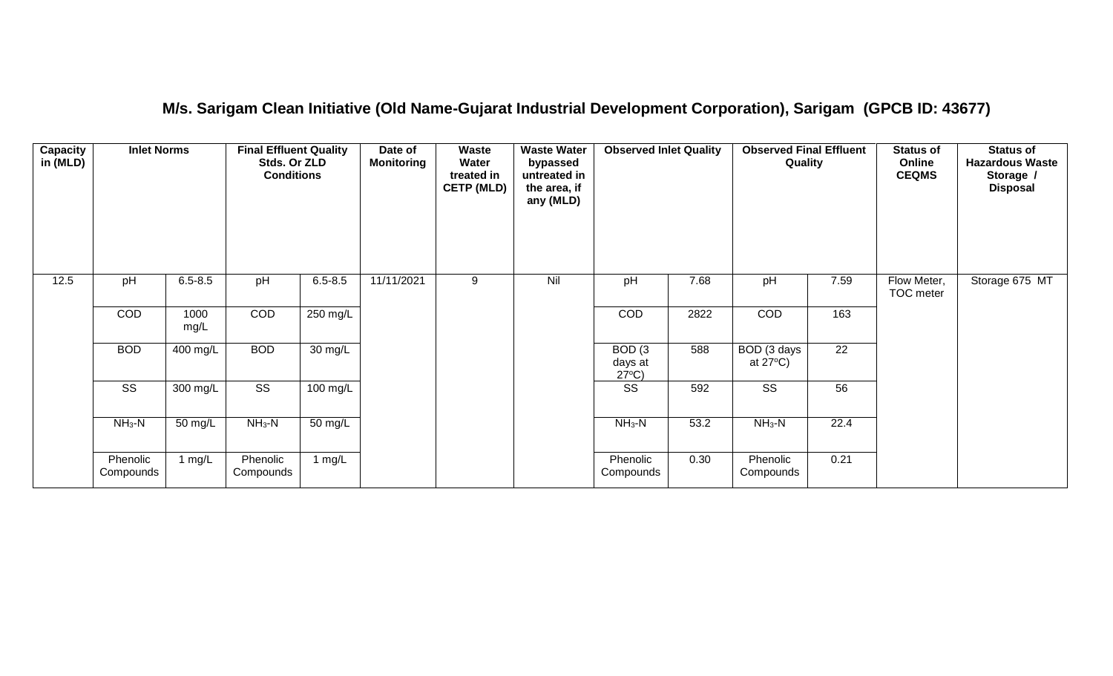#### **M/s. Sarigam Clean Initiative (Old Name-Gujarat Industrial Development Corporation), Sarigam (GPCB ID: 43677)**

| Capacity<br>in (MLD) | <b>Inlet Norms</b>     |              | <b>Final Effluent Quality</b><br>Stds. Or ZLD<br><b>Conditions</b> |                      | Date of<br><b>Monitoring</b> | Waste<br>Water<br>treated in<br><b>CETP (MLD)</b> | <b>Waste Water</b><br>bypassed<br>untreated in<br>the area, if<br>any (MLD) | <b>Observed Inlet Quality</b>        |      | <b>Observed Final Effluent</b><br>Quality |                 | <b>Status of</b><br>Online<br><b>CEQMS</b> | <b>Status of</b><br><b>Hazardous Waste</b><br>Storage /<br><b>Disposal</b> |
|----------------------|------------------------|--------------|--------------------------------------------------------------------|----------------------|------------------------------|---------------------------------------------------|-----------------------------------------------------------------------------|--------------------------------------|------|-------------------------------------------|-----------------|--------------------------------------------|----------------------------------------------------------------------------|
| 12.5                 | pH                     | $6.5 - 8.5$  | pH                                                                 | $6.5 - 8.5$          | 11/11/2021                   | 9                                                 | Nil                                                                         | pH                                   | 7.68 | pH                                        | 7.59            | Flow Meter,<br>TOC meter                   | Storage 675 MT                                                             |
|                      | COD                    | 1000<br>mg/L | COD                                                                | $250 \text{ mg/L}$   |                              |                                                   |                                                                             | COD                                  | 2822 | COD                                       | 163             |                                            |                                                                            |
|                      | <b>BOD</b>             | 400 mg/L     | <b>BOD</b>                                                         | 30 mg/L              |                              |                                                   |                                                                             | BOD(3)<br>days at<br>$27^{\circ}C$ ) | 588  | BOD (3 days<br>at $27^{\circ}$ C)         | $\overline{22}$ |                                            |                                                                            |
|                      | $\overline{\text{ss}}$ | $300$ mg/L   | $\overline{\text{SS}}$                                             | $100$ mg/L           |                              |                                                   |                                                                             | $\overline{\text{ss}}$               | 592  | $\overline{\text{ss}}$                    | 56              |                                            |                                                                            |
|                      | $NH3-N$                | 50 mg/L      | $NH3-N$                                                            | $\overline{50}$ mg/L |                              |                                                   |                                                                             | $NH3-N$                              | 53.2 | $NH_3-N$                                  | 22.4            |                                            |                                                                            |
|                      | Phenolic<br>Compounds  | 1 $mg/L$     | Phenolic<br>Compounds                                              | 1 mg/L               |                              |                                                   |                                                                             | Phenolic<br>Compounds                | 0.30 | Phenolic<br>Compounds                     | 0.21            |                                            |                                                                            |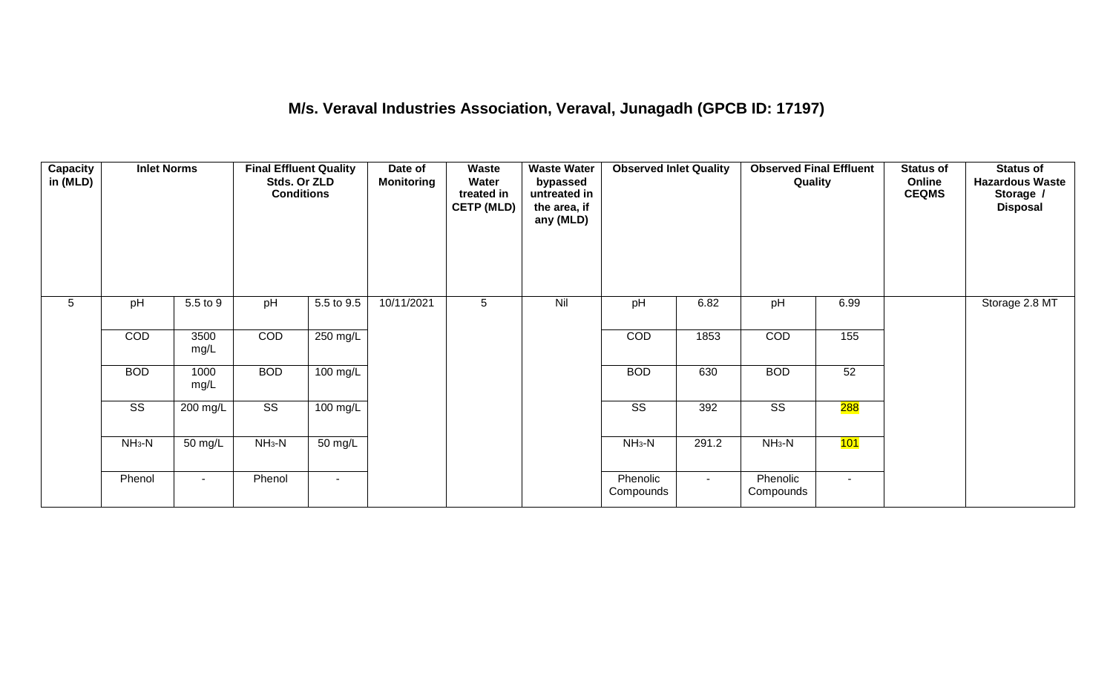## **M/s. Veraval Industries Association, Veraval, Junagadh (GPCB ID: 17197)**

| <b>Capacity</b><br>in (MLD) | <b>Inlet Norms</b>     |              | <b>Final Effluent Quality</b><br>Stds. Or ZLD<br><b>Conditions</b> |                      | Date of<br><b>Monitoring</b> | Waste<br>Water<br>treated in<br><b>CETP (MLD)</b> | <b>Waste Water</b><br>bypassed<br>untreated in<br>the area, if<br>any (MLD) | <b>Observed Inlet Quality</b> |        | <b>Observed Final Effluent</b><br>Quality |        | <b>Status of</b><br>Online<br><b>CEQMS</b> | <b>Status of</b><br><b>Hazardous Waste</b><br>Storage /<br><b>Disposal</b> |
|-----------------------------|------------------------|--------------|--------------------------------------------------------------------|----------------------|------------------------------|---------------------------------------------------|-----------------------------------------------------------------------------|-------------------------------|--------|-------------------------------------------|--------|--------------------------------------------|----------------------------------------------------------------------------|
| $5\phantom{.0}$             | pH                     | 5.5 to 9     | pH                                                                 | 5.5 to 9.5           | 10/11/2021                   | 5                                                 | Nil                                                                         | pH                            | 6.82   | pH                                        | 6.99   |                                            | Storage 2.8 MT                                                             |
|                             | COD                    | 3500<br>mg/L | COD                                                                | 250 mg/L             |                              |                                                   |                                                                             | COD                           | 1853   | COD                                       | 155    |                                            |                                                                            |
|                             | <b>BOD</b>             | 1000<br>mg/L | <b>BOD</b>                                                         | 100 mg/L             |                              |                                                   |                                                                             | <b>BOD</b>                    | 630    | <b>BOD</b>                                | 52     |                                            |                                                                            |
|                             | $\overline{\text{ss}}$ | 200 mg/L     | $\overline{\text{ss}}$                                             | 100 mg/L             |                              |                                                   |                                                                             | $\overline{\text{ss}}$        | 392    | $\overline{\text{ss}}$                    | 288    |                                            |                                                                            |
|                             | $NH3-N$                | 50 mg/L      | $NH3-N$                                                            | $\overline{50}$ mg/L |                              |                                                   |                                                                             | $NH3-N$                       | 291.2  | $NH3-N$                                   | 101    |                                            |                                                                            |
|                             | Phenol                 | $\sim$       | Phenol                                                             | $\blacksquare$       |                              |                                                   |                                                                             | Phenolic<br>Compounds         | $\sim$ | Phenolic<br>Compounds                     | $\sim$ |                                            |                                                                            |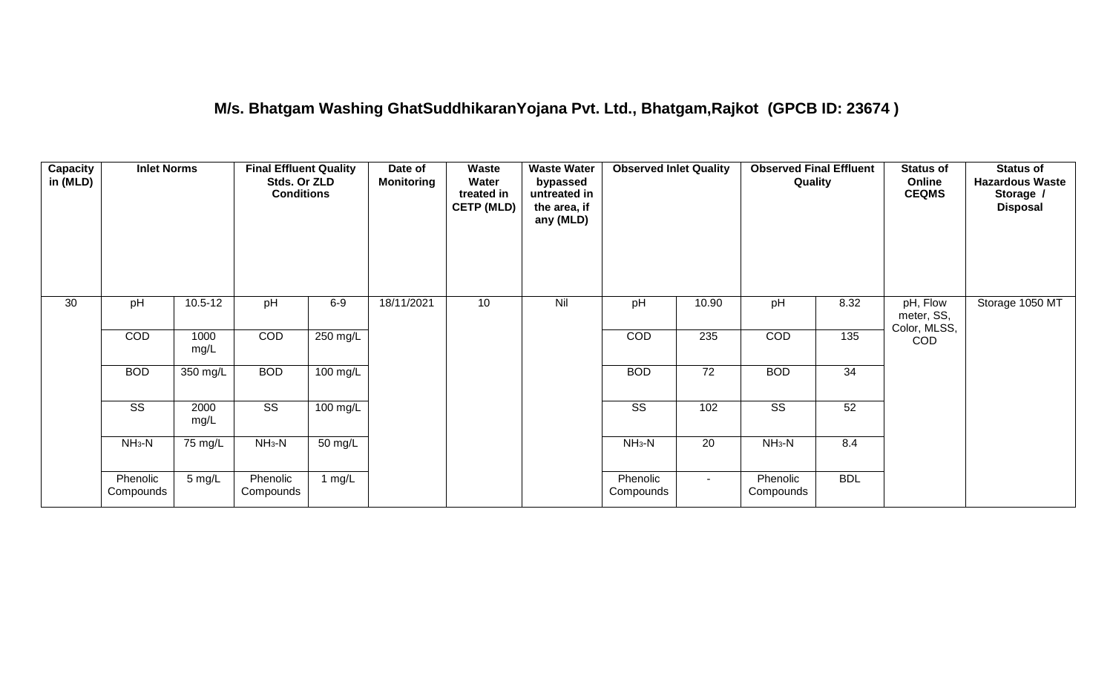#### **M/s. Bhatgam Washing GhatSuddhikaranYojana Pvt. Ltd., Bhatgam,Rajkot (GPCB ID: 23674 )**

| Capacity<br>in (MLD) | <b>Inlet Norms</b>     |                      | <b>Final Effluent Quality</b><br>Stds. Or ZLD<br><b>Conditions</b> |                      | Date of<br><b>Monitoring</b> | Waste<br>Water<br>treated in<br><b>CETP (MLD)</b> | <b>Waste Water</b><br>bypassed<br>untreated in<br>the area, if<br>any (MLD) | <b>Observed Inlet Quality</b> |                 | <b>Observed Final Effluent</b><br>Quality |                 | <b>Status of</b><br>Online<br><b>CEQMS</b> | <b>Status of</b><br><b>Hazardous Waste</b><br>Storage /<br><b>Disposal</b> |
|----------------------|------------------------|----------------------|--------------------------------------------------------------------|----------------------|------------------------------|---------------------------------------------------|-----------------------------------------------------------------------------|-------------------------------|-----------------|-------------------------------------------|-----------------|--------------------------------------------|----------------------------------------------------------------------------|
| 30                   | pH                     | $10.5 - 12$          | pH                                                                 | $6-9$                | 18/11/2021                   | 10                                                | Nil                                                                         | pH                            | 10.90           | pH                                        | 8.32            | pH, Flow<br>meter, SS,<br>Color, MLSS,     | Storage 1050 MT                                                            |
|                      | COD                    | 1000<br>mg/L         | COD                                                                | $250$ mg/L           |                              |                                                   |                                                                             | COD                           | 235             | COD                                       | 135             | COD                                        |                                                                            |
|                      | <b>BOD</b>             | 350 mg/L             | <b>BOD</b>                                                         | 100 mg/L             |                              |                                                   |                                                                             | <b>BOD</b>                    | $\overline{72}$ | <b>BOD</b>                                | $\overline{34}$ |                                            |                                                                            |
|                      | $\overline{\text{ss}}$ | 2000<br>mg/L         | $\overline{\text{SS}}$                                             | $100$ mg/L           |                              |                                                   |                                                                             | $\overline{\text{ss}}$        | 102             | $\overline{\text{SS}}$                    | 52              |                                            |                                                                            |
|                      | $NH3-N$                | $\overline{75}$ mg/L | $NH3-N$                                                            | $\overline{50}$ mg/L |                              |                                                   |                                                                             | $NH3-N$                       | $\overline{20}$ | $NH3-N$                                   | 8.4             |                                            |                                                                            |
|                      | Phenolic<br>Compounds  | $5 \text{ mg/L}$     | Phenolic<br>Compounds                                              | 1 mg/L               |                              |                                                   |                                                                             | Phenolic<br>Compounds         | $\sim$          | Phenolic<br>Compounds                     | <b>BDL</b>      |                                            |                                                                            |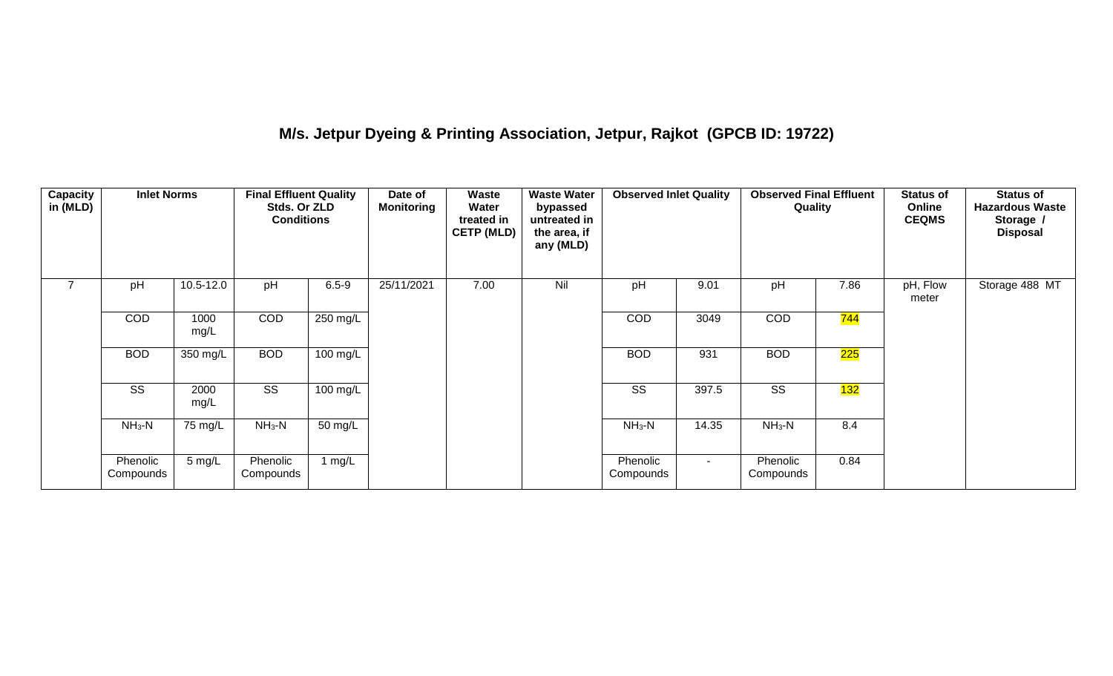## **M/s. Jetpur Dyeing & Printing Association, Jetpur, Rajkot (GPCB ID: 19722)**

| <b>Capacity</b><br>in (MLD) | <b>Inlet Norms</b>     |                   | <b>Final Effluent Quality</b><br>Stds. Or ZLD<br><b>Conditions</b> |                    | Date of<br><b>Monitoring</b> | Waste<br>Water<br>treated in<br><b>CETP (MLD)</b> | <b>Waste Water</b><br>bypassed<br>untreated in<br>the area, if<br>any (MLD) | <b>Observed Inlet Quality</b> |        | <b>Observed Final Effluent</b><br>Quality |                  | <b>Status of</b><br>Online<br><b>CEQMS</b> | <b>Status of</b><br><b>Hazardous Waste</b><br>Storage /<br><b>Disposal</b> |
|-----------------------------|------------------------|-------------------|--------------------------------------------------------------------|--------------------|------------------------------|---------------------------------------------------|-----------------------------------------------------------------------------|-------------------------------|--------|-------------------------------------------|------------------|--------------------------------------------|----------------------------------------------------------------------------|
|                             | pH                     | 10.5-12.0         | pH                                                                 | $6.5 - 9$          | 25/11/2021                   | 7.00                                              | Nil                                                                         | pH                            | 9.01   | pH                                        | 7.86             | pH, Flow<br>meter                          | Storage 488 MT                                                             |
|                             | <b>COD</b>             | 1000<br>mg/L      | <b>COD</b>                                                         | 250 mg/L           |                              |                                                   |                                                                             | <b>COD</b>                    | 3049   | <b>COD</b>                                | <mark>744</mark> |                                            |                                                                            |
|                             | <b>BOD</b>             | 350 mg/L          | <b>BOD</b>                                                         | $100 \text{ mg/L}$ |                              |                                                   |                                                                             | <b>BOD</b>                    | 931    | <b>BOD</b>                                | 225              |                                            |                                                                            |
|                             | $\overline{\text{ss}}$ | 2000<br>mg/L      | $\overline{\text{SS}}$                                             | $100 \text{ mg/L}$ |                              |                                                   |                                                                             | SS                            | 397.5  | $\overline{\text{SS}}$                    | 132              |                                            |                                                                            |
|                             | $NH3-N$                | $75 \text{ mg/L}$ | $NH3-N$                                                            | 50 mg/L            |                              |                                                   |                                                                             | $NH3-N$                       | 14.35  | $NH3-N$                                   | 8.4              |                                            |                                                                            |
|                             | Phenolic<br>Compounds  | 5 mg/L            | Phenolic<br>Compounds                                              | 1 $mg/L$           |                              |                                                   |                                                                             | Phenolic<br>Compounds         | $\sim$ | Phenolic<br>Compounds                     | 0.84             |                                            |                                                                            |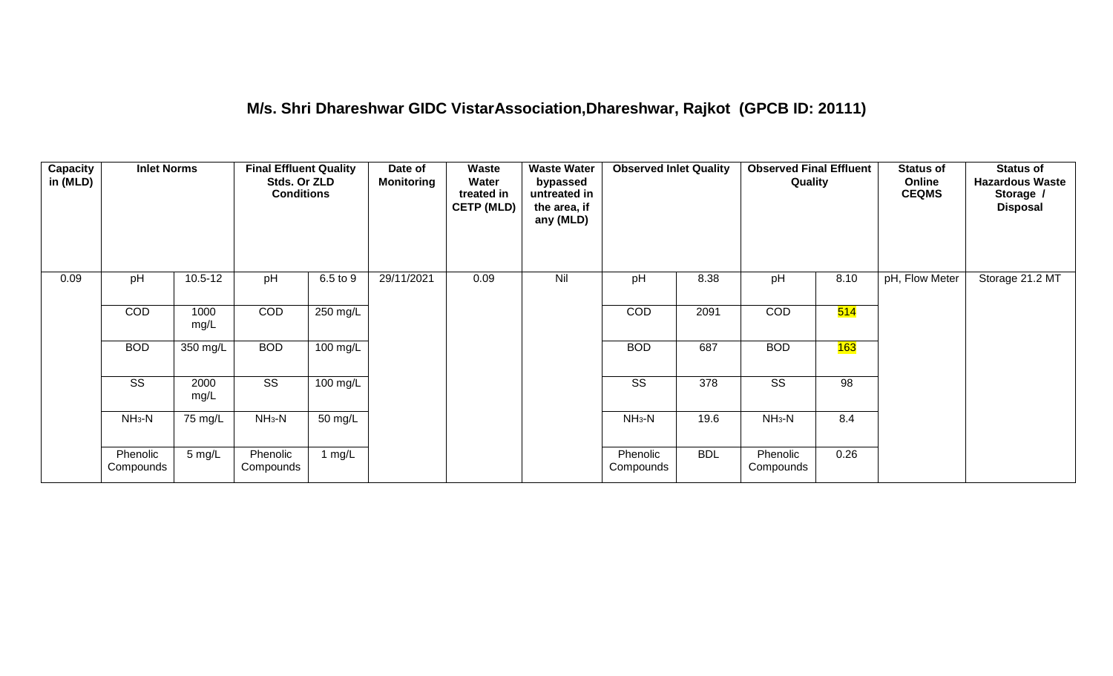#### **M/s. Shri Dhareshwar GIDC VistarAssociation,Dhareshwar, Rajkot (GPCB ID: 20111)**

| Capacity<br>in (MLD) | <b>Inlet Norms</b>    |              | <b>Final Effluent Quality</b><br>Stds. Or ZLD<br><b>Conditions</b> |          | Date of<br><b>Monitoring</b> | Waste<br>Water<br>treated in<br><b>CETP (MLD)</b> | <b>Waste Water</b><br>bypassed<br>untreated in<br>the area, if<br>any (MLD) | <b>Observed Inlet Quality</b> |            | <b>Observed Final Effluent</b><br>Quality |      | <b>Status of</b><br>Online<br><b>CEQMS</b> | <b>Status of</b><br><b>Hazardous Waste</b><br>Storage /<br><b>Disposal</b> |
|----------------------|-----------------------|--------------|--------------------------------------------------------------------|----------|------------------------------|---------------------------------------------------|-----------------------------------------------------------------------------|-------------------------------|------------|-------------------------------------------|------|--------------------------------------------|----------------------------------------------------------------------------|
| 0.09                 | pH                    | $10.5 - 12$  | pH                                                                 | 6.5 to 9 | 29/11/2021                   | 0.09                                              | Nil                                                                         | pH                            | 8.38       | pH                                        | 8.10 | pH, Flow Meter                             | Storage 21.2 MT                                                            |
|                      | COD                   | 1000<br>mg/L | COD                                                                | 250 mg/L |                              |                                                   |                                                                             | COD                           | 2091       | COD                                       | 514  |                                            |                                                                            |
|                      | <b>BOD</b>            | 350 mg/L     | <b>BOD</b>                                                         | 100 mg/L |                              |                                                   |                                                                             | <b>BOD</b>                    | 687        | <b>BOD</b>                                | 163  |                                            |                                                                            |
|                      | SS                    | 2000<br>mg/L | SS                                                                 | 100 mg/L |                              |                                                   |                                                                             | SS                            | 378        | SS                                        | 98   |                                            |                                                                            |
|                      | $NH_3-N$              | 75 mg/L      | $NH_3-N$                                                           | 50 mg/L  |                              |                                                   |                                                                             | $NH3-N$                       | 19.6       | $NH3-N$                                   | 8.4  |                                            |                                                                            |
|                      | Phenolic<br>Compounds | 5 mg/L       | Phenolic<br>Compounds                                              | 1 $mg/L$ |                              |                                                   |                                                                             | Phenolic<br>Compounds         | <b>BDL</b> | Phenolic<br>Compounds                     | 0.26 |                                            |                                                                            |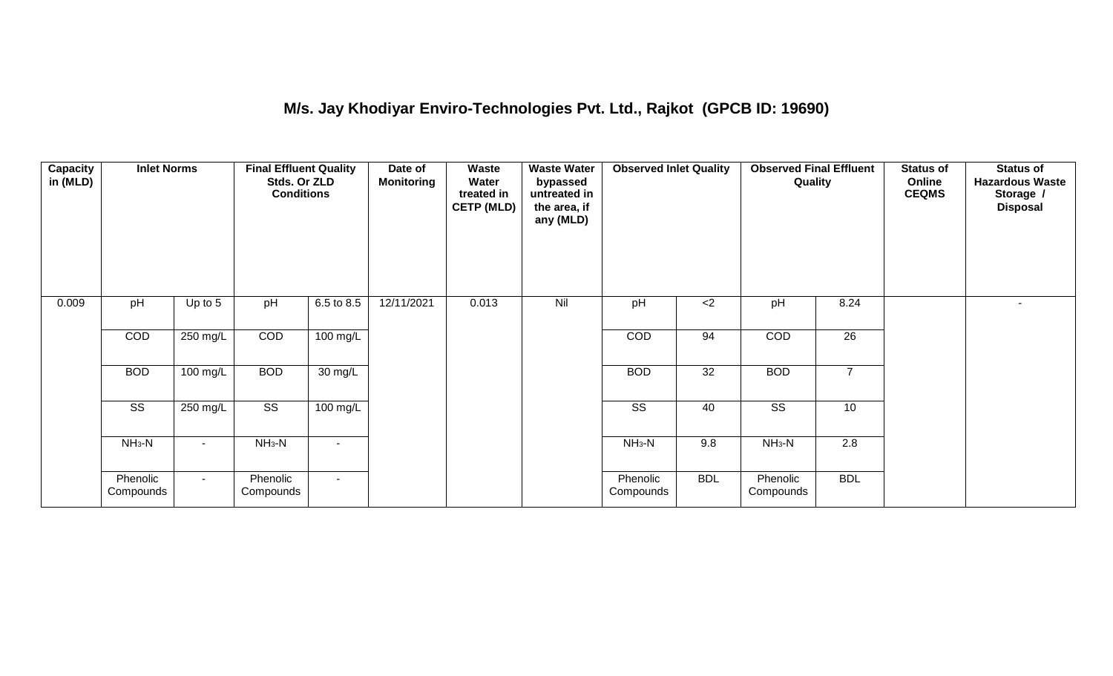## **M/s. Jay Khodiyar Enviro-Technologies Pvt. Ltd., Rajkot (GPCB ID: 19690)**

| <b>Capacity</b><br>in (MLD) | <b>Inlet Norms</b>     |           | <b>Final Effluent Quality</b><br>Stds. Or ZLD<br><b>Conditions</b> |                    | Date of<br><b>Monitoring</b> | <b>Waste</b><br>Water<br>treated in<br><b>CETP (MLD)</b> | <b>Waste Water</b><br>bypassed<br>untreated in<br>the area, if<br>any (MLD) | <b>Observed Inlet Quality</b> |            | <b>Observed Final Effluent</b><br>Quality |                  | <b>Status of</b><br>Online<br><b>CEQMS</b> | <b>Status of</b><br><b>Hazardous Waste</b><br>Storage /<br><b>Disposal</b> |
|-----------------------------|------------------------|-----------|--------------------------------------------------------------------|--------------------|------------------------------|----------------------------------------------------------|-----------------------------------------------------------------------------|-------------------------------|------------|-------------------------------------------|------------------|--------------------------------------------|----------------------------------------------------------------------------|
| 0.009                       | pH                     | Up to $5$ | pH                                                                 | 6.5 to 8.5         | 12/11/2021                   | 0.013                                                    | Nil                                                                         | pH                            | $<$ 2      | pH                                        | 8.24             |                                            | $\sim$                                                                     |
|                             | COD                    | 250 mg/L  | COD                                                                | $100 \text{ mg/L}$ |                              |                                                          |                                                                             | <b>COD</b>                    | 94         | COD                                       | 26               |                                            |                                                                            |
|                             | <b>BOD</b>             | 100 mg/L  | <b>BOD</b>                                                         | 30 mg/L            |                              |                                                          |                                                                             | <b>BOD</b>                    | 32         | <b>BOD</b>                                | $\overline{7}$   |                                            |                                                                            |
|                             | $\overline{\text{ss}}$ | 250 mg/L  | $\overline{\text{ss}}$                                             | $100 \text{ mg/L}$ |                              |                                                          |                                                                             | $\overline{\text{ss}}$        | 40         | $\overline{\text{ss}}$                    | 10               |                                            |                                                                            |
|                             | $NH3-N$                |           | $NH3-N$                                                            | $\blacksquare$     |                              |                                                          |                                                                             | $NH3-N$                       | 9.8        | $NH3-N$                                   | $\overline{2.8}$ |                                            |                                                                            |
|                             | Phenolic<br>Compounds  | $\sim$    | Phenolic<br>Compounds                                              | $\sim$             |                              |                                                          |                                                                             | Phenolic<br>Compounds         | <b>BDL</b> | Phenolic<br>Compounds                     | <b>BDL</b>       |                                            |                                                                            |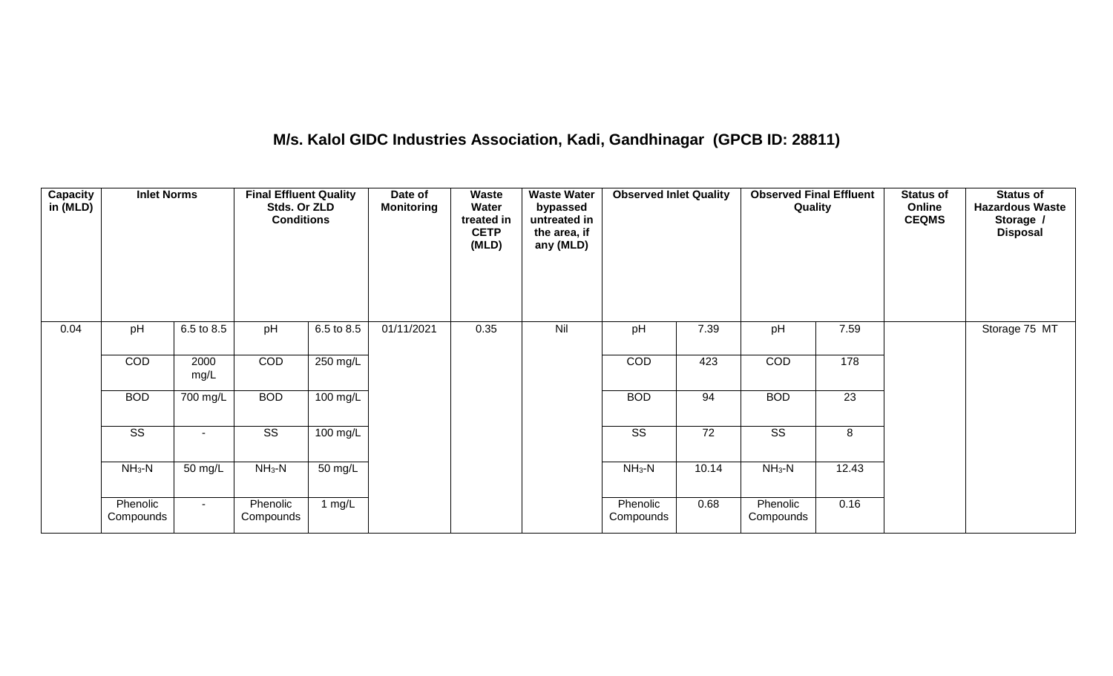## **M/s. Kalol GIDC Industries Association, Kadi, Gandhinagar (GPCB ID: 28811)**

| Capacity<br>in (MLD) | <b>Inlet Norms</b>     |              | <b>Final Effluent Quality</b><br>Stds. Or ZLD<br><b>Conditions</b> |                    | Date of<br><b>Monitoring</b> | Waste<br>Water<br>treated in<br><b>CETP</b><br>(MLD) | <b>Waste Water</b><br>bypassed<br>untreated in<br>the area, if<br>any (MLD) | <b>Observed Inlet Quality</b> |                 | <b>Observed Final Effluent</b><br>Quality |                 | <b>Status of</b><br>Online<br><b>CEQMS</b> | <b>Status of</b><br><b>Hazardous Waste</b><br>Storage /<br><b>Disposal</b> |
|----------------------|------------------------|--------------|--------------------------------------------------------------------|--------------------|------------------------------|------------------------------------------------------|-----------------------------------------------------------------------------|-------------------------------|-----------------|-------------------------------------------|-----------------|--------------------------------------------|----------------------------------------------------------------------------|
| 0.04                 | pH                     | 6.5 to 8.5   | pH                                                                 | 6.5 to 8.5         | 01/11/2021                   | 0.35                                                 | Nil                                                                         | pH                            | 7.39            | pH                                        | 7.59            |                                            | Storage 75 MT                                                              |
|                      | COD                    | 2000<br>mg/L | COD                                                                | 250 mg/L           |                              |                                                      |                                                                             | COD                           | 423             | COD                                       | 178             |                                            |                                                                            |
|                      | <b>BOD</b>             | 700 mg/L     | <b>BOD</b>                                                         | 100 mg/L           |                              |                                                      |                                                                             | <b>BOD</b>                    | 94              | <b>BOD</b>                                | $\overline{23}$ |                                            |                                                                            |
|                      | $\overline{\text{ss}}$ | $\sim$       | $\overline{\text{ss}}$                                             | $100 \text{ mg/L}$ |                              |                                                      |                                                                             | $\overline{\text{ss}}$        | $\overline{72}$ | $\overline{\text{ss}}$                    | 8               |                                            |                                                                            |
|                      | $NH_3-N$               | 50 mg/L      | $NH_3-N$                                                           | 50 mg/L            |                              |                                                      |                                                                             | $NH3-N$                       | 10.14           | $NH_3-N$                                  | 12.43           |                                            |                                                                            |
|                      | Phenolic<br>Compounds  | $\sim$       | Phenolic<br>Compounds                                              | 1 mg/L             |                              |                                                      |                                                                             | Phenolic<br>Compounds         | 0.68            | Phenolic<br>Compounds                     | 0.16            |                                            |                                                                            |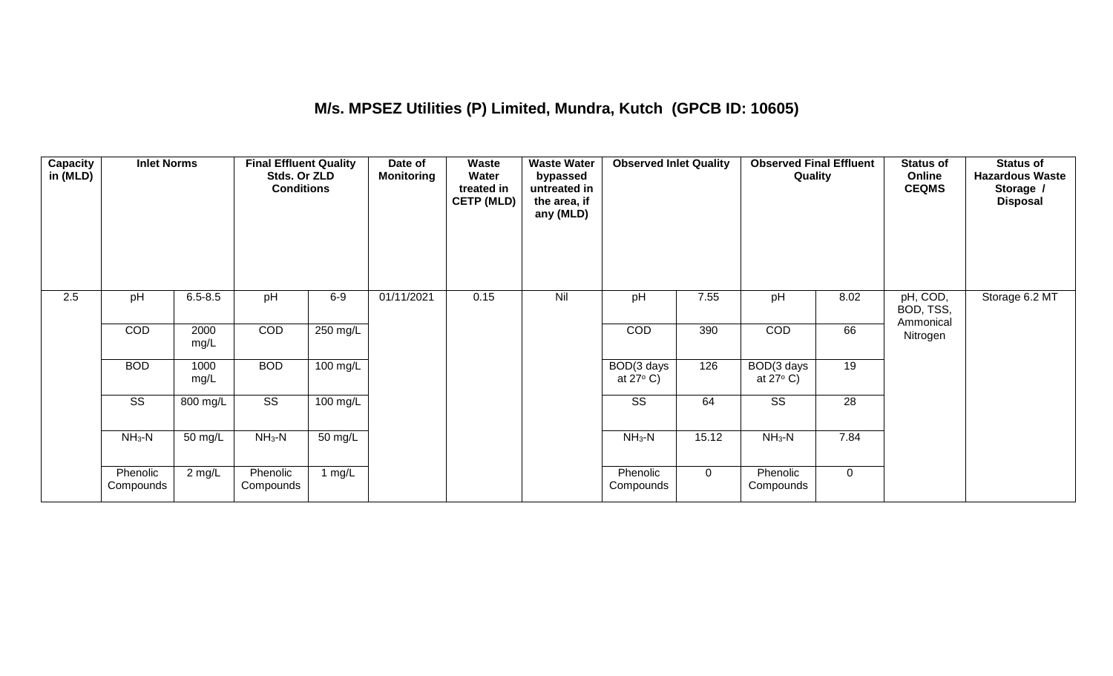## **M/s. MPSEZ Utilities (P) Limited, Mundra, Kutch (GPCB ID: 10605)**

| Capacity<br>in (MLD) | <b>Inlet Norms</b>     |                      | <b>Final Effluent Quality</b><br>Stds. Or ZLD<br><b>Conditions</b> |                      | Date of<br><b>Monitoring</b> | Waste<br>Water<br>treated in<br><b>CETP (MLD)</b> | <b>Waste Water</b><br>bypassed<br>untreated in<br>the area, if<br>any (MLD) | <b>Observed Inlet Quality</b>    |             | <b>Observed Final Effluent</b><br>Quality |             | <b>Status of</b><br>Online<br><b>CEQMS</b> | <b>Status of</b><br><b>Hazardous Waste</b><br>Storage /<br><b>Disposal</b> |
|----------------------|------------------------|----------------------|--------------------------------------------------------------------|----------------------|------------------------------|---------------------------------------------------|-----------------------------------------------------------------------------|----------------------------------|-------------|-------------------------------------------|-------------|--------------------------------------------|----------------------------------------------------------------------------|
| 2.5                  | pH                     | $6.5 - 8.5$          | pH                                                                 | $6-9$                | 01/11/2021                   | 0.15                                              | Nil                                                                         | pH                               | 7.55        | pH                                        | 8.02        | pH, COD,<br>BOD, TSS,<br>Ammonical         | Storage 6.2 MT                                                             |
|                      | COD                    | 2000<br>mg/L         | COD                                                                | 250 mg/L             |                              |                                                   |                                                                             | COD                              | 390         | COD                                       | 66          | Nitrogen                                   |                                                                            |
|                      | <b>BOD</b>             | 1000<br>mg/L         | <b>BOD</b>                                                         | $100 \text{ mg/L}$   |                              |                                                   |                                                                             | BOD(3 days<br>at $27^{\circ}$ C) | 126         | BOD(3 days<br>at $27^{\circ}$ C)          | 19          |                                            |                                                                            |
|                      | $\overline{\text{SS}}$ | 800 mg/L             | $\overline{\text{ss}}$                                             | 100 mg/L             |                              |                                                   |                                                                             | SS                               | 64          | $\overline{\text{SS}}$                    | 28          |                                            |                                                                            |
|                      | $NH3-N$                | $\overline{50}$ mg/L | $NH3-N$                                                            | $\overline{50}$ mg/L |                              |                                                   |                                                                             | $NH3-N$                          | 15.12       | $NH3-N$                                   | 7.84        |                                            |                                                                            |
|                      | Phenolic<br>Compounds  | 2 mg/L               | Phenolic<br>Compounds                                              | 1 $mg/L$             |                              |                                                   |                                                                             | Phenolic<br>Compounds            | $\mathbf 0$ | Phenolic<br>Compounds                     | $\mathbf 0$ |                                            |                                                                            |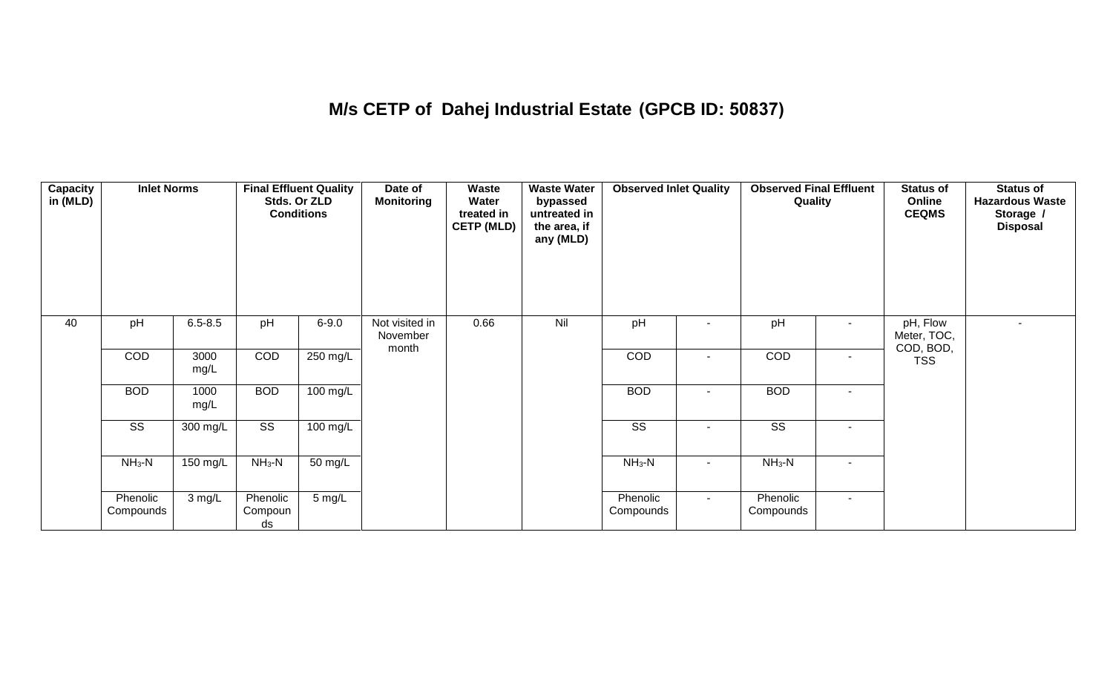## **M/s CETP of Dahej Industrial Estate (GPCB ID: 50837)**

| <b>Capacity</b><br>in (MLD) | <b>Inlet Norms</b>     |              |                           | <b>Final Effluent Quality</b><br>Stds. Or ZLD<br><b>Conditions</b> | Date of<br><b>Monitoring</b>        | Waste<br>Water<br>treated in<br><b>CETP (MLD)</b> | <b>Waste Water</b><br>bypassed<br>untreated in<br>the area, if<br>any (MLD) | <b>Observed Inlet Quality</b> |        | <b>Observed Final Effluent</b><br>Quality |        | <b>Status of</b><br>Online<br><b>CEQMS</b> | Status of<br><b>Hazardous Waste</b><br>Storage /<br><b>Disposal</b> |
|-----------------------------|------------------------|--------------|---------------------------|--------------------------------------------------------------------|-------------------------------------|---------------------------------------------------|-----------------------------------------------------------------------------|-------------------------------|--------|-------------------------------------------|--------|--------------------------------------------|---------------------------------------------------------------------|
| 40                          | pH                     | $6.5 - 8.5$  | pH                        | $6 - 9.0$                                                          | Not visited in<br>November<br>month | 0.66                                              | Nil                                                                         | pH                            |        | pH                                        | $\sim$ | pH, Flow<br>Meter, TOC,<br>COD, BOD,       |                                                                     |
|                             | COD                    | 3000<br>mg/L | COD                       | 250 mg/L                                                           |                                     |                                                   |                                                                             | COD                           | ٠      | COD                                       | $\sim$ | <b>TSS</b>                                 |                                                                     |
|                             | <b>BOD</b>             | 1000<br>mg/L | <b>BOD</b>                | $100 \text{ mg/L}$                                                 |                                     |                                                   |                                                                             | <b>BOD</b>                    |        | <b>BOD</b>                                | $\sim$ |                                            |                                                                     |
|                             | $\overline{\text{ss}}$ | 300 mg/L     | $\overline{\text{ss}}$    | $100$ mg/L                                                         |                                     |                                                   |                                                                             | $\overline{\text{ss}}$        |        | $\overline{\text{ss}}$                    | $\sim$ |                                            |                                                                     |
|                             | $NH3-N$                | 150 mg/L     | $NH3-N$                   | 50 mg/L                                                            |                                     |                                                   |                                                                             | $NH_3-N$                      | $\sim$ | $NH_3-N$                                  | $\sim$ |                                            |                                                                     |
|                             | Phenolic<br>Compounds  | 3 mg/L       | Phenolic<br>Compoun<br>ds | $5 \text{ mg/L}$                                                   |                                     |                                                   |                                                                             | Phenolic<br>Compounds         | $\sim$ | Phenolic<br>Compounds                     | $\sim$ |                                            |                                                                     |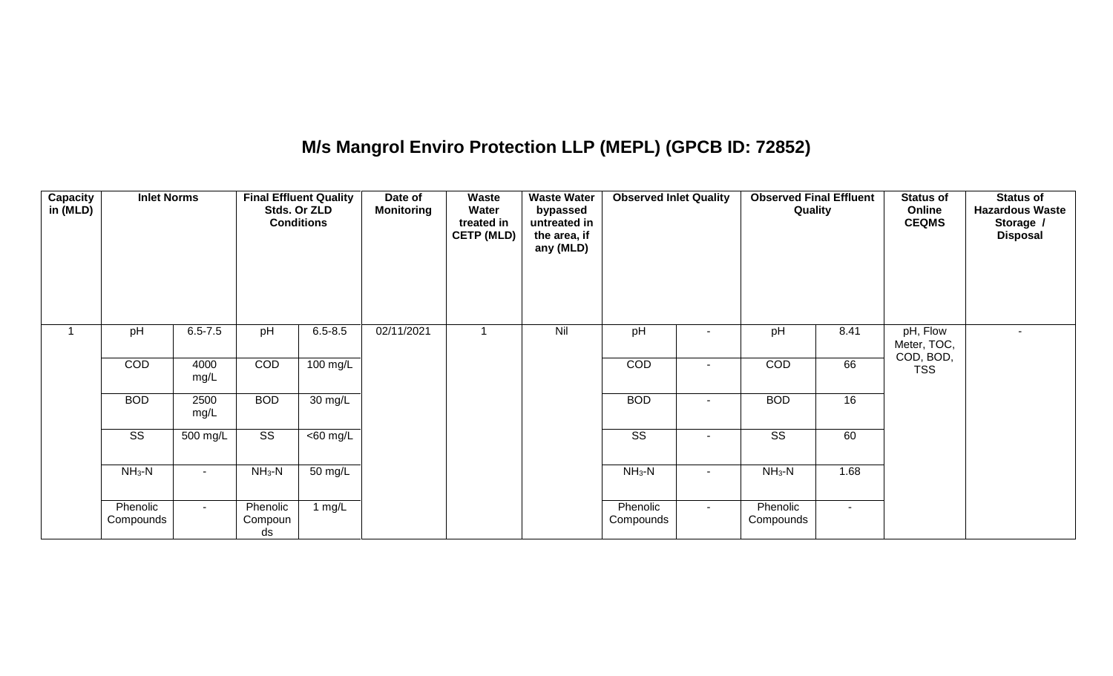## **M/s Mangrol Enviro Protection LLP (MEPL) (GPCB ID: 72852)**

| <b>Capacity</b><br>in (MLD) | <b>Inlet Norms</b>     |              |                           | <b>Final Effluent Quality</b><br>Stds. Or ZLD<br><b>Conditions</b> | Date of<br><b>Monitoring</b> | Waste<br>Water<br>treated in<br><b>CETP (MLD)</b> | <b>Waste Water</b><br>bypassed<br>untreated in<br>the area, if<br>any (MLD) | <b>Observed Inlet Quality</b> |        | <b>Observed Final Effluent</b><br>Quality |                 | <b>Status of</b><br>Online<br><b>CEQMS</b> | <b>Status of</b><br><b>Hazardous Waste</b><br>Storage /<br><b>Disposal</b> |
|-----------------------------|------------------------|--------------|---------------------------|--------------------------------------------------------------------|------------------------------|---------------------------------------------------|-----------------------------------------------------------------------------|-------------------------------|--------|-------------------------------------------|-----------------|--------------------------------------------|----------------------------------------------------------------------------|
| 1                           | pH                     | $6.5 - 7.5$  | pH                        | $6.5 - 8.5$                                                        | 02/11/2021                   |                                                   | Nil                                                                         | pH                            |        | pH                                        | 8.41            | pH, Flow<br>Meter, TOC,<br>COD, BOD,       | $\sim$                                                                     |
|                             | COD                    | 4000<br>mg/L | COD                       | 100 mg/L                                                           |                              |                                                   |                                                                             | COD                           | $\sim$ | COD                                       | 66              | <b>TSS</b>                                 |                                                                            |
|                             | <b>BOD</b>             | 2500<br>mg/L | <b>BOD</b>                | $30 \text{ mg/L}$                                                  |                              |                                                   |                                                                             | <b>BOD</b>                    |        | <b>BOD</b>                                | 16              |                                            |                                                                            |
|                             | $\overline{\text{SS}}$ | 500 mg/L     | $\overline{\text{SS}}$    | <60 mg/L                                                           |                              |                                                   |                                                                             | $\overline{\text{SS}}$        |        | $\overline{\text{SS}}$                    | 60              |                                            |                                                                            |
|                             | $NH3-N$                | $\sim$       | $NH3-N$                   | 50 mg/L                                                            |                              |                                                   |                                                                             | $NH3-N$                       | $\sim$ | $NH_3-N$                                  | 1.68            |                                            |                                                                            |
|                             | Phenolic<br>Compounds  | $\sim$       | Phenolic<br>Compoun<br>ds | 1 $mg/L$                                                           |                              |                                                   |                                                                             | Phenolic<br>Compounds         | $\sim$ | Phenolic<br>Compounds                     | $\sim$ 10 $\pm$ |                                            |                                                                            |